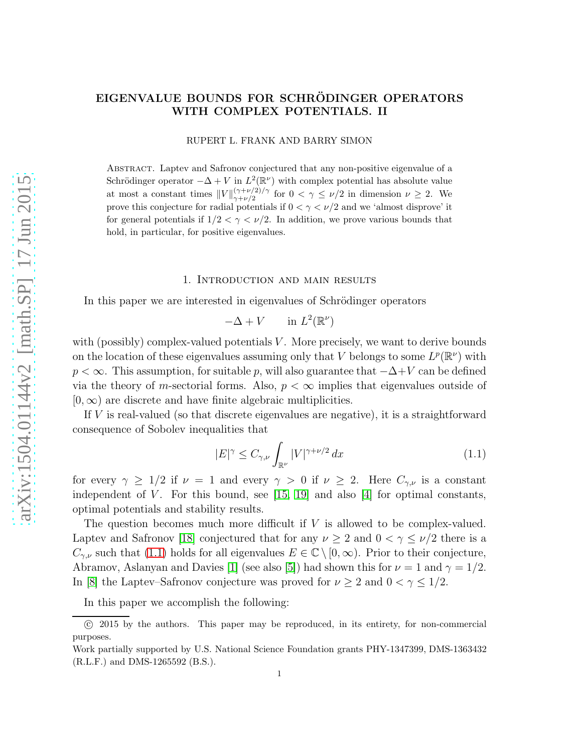# EIGENVALUE BOUNDS FOR SCHRÖDINGER OPERATORS WITH COMPLEX POTENTIALS. II

RUPERT L. FRANK AND BARRY SIMON

Abstract. Laptev and Safronov conjectured that any non-positive eigenvalue of a Schrödinger operator  $-\Delta + V$  in  $L^2(\mathbb{R}^{\nu})$  with complex potential has absolute value at most a constant times  $||V||_{\gamma+\nu/2}^{(\gamma+\nu/2)/\gamma}$  $\gamma_{\gamma+\nu/2}^{(\gamma+\nu/2)/\gamma}$  for  $0 < \gamma \leq \nu/2$  in dimension  $\nu \geq 2$ . We prove this conjecture for radial potentials if  $0 < \gamma < \nu/2$  and we 'almost disprove' it for general potentials if  $1/2 < \gamma < \nu/2$ . In addition, we prove various bounds that hold, in particular, for positive eigenvalues.

### 1. Introduction and main results

In this paper we are interested in eigenvalues of Schrödinger operators

 $-\Delta + V$  in  $L^2(\mathbb{R}^\nu)$ 

with (possibly) complex-valued potentials  $V$ . More precisely, we want to derive bounds on the location of these eigenvalues assuming only that V belongs to some  $L^p(\mathbb{R}^{\nu})$  with  $p < \infty$ . This assumption, for suitable p, will also guarantee that  $-\Delta + V$  can be defined via the theory of m-sectorial forms. Also,  $p < \infty$  implies that eigenvalues outside of  $[0, \infty)$  are discrete and have finite algebraic multiplicities.

If V is real-valued (so that discrete eigenvalues are negative), it is a straightforward consequence of Sobolev inequalities that

<span id="page-0-0"></span>
$$
|E|^{\gamma} \le C_{\gamma,\nu} \int_{\mathbb{R}^{\nu}} |V|^{\gamma+\nu/2} dx \tag{1.1}
$$

for every  $\gamma \geq 1/2$  if  $\nu = 1$  and every  $\gamma > 0$  if  $\nu \geq 2$ . Here  $C_{\gamma,\nu}$  is a constant independent of V. For this bound, see  $[15, 19]$  $[15, 19]$  and also  $[4]$  for optimal constants, optimal potentials and stability results.

The question becomes much more difficult if  $V$  is allowed to be complex-valued. Laptev and Safronov [\[18\]](#page-19-1) conjectured that for any  $\nu \geq 2$  and  $0 < \gamma \leq \nu/2$  there is a  $C_{\gamma,\nu}$  such that [\(1.1\)](#page-0-0) holds for all eigenvalues  $E \in \mathbb{C} \setminus [0,\infty)$ . Prior to their conjecture, Abramov, Aslanyan and Davies [\[1\]](#page-18-2) (see also [\[5\]](#page-18-3)) had shown this for  $\nu = 1$  and  $\gamma = 1/2$ . In [\[8\]](#page-18-4) the Laptev–Safronov conjecture was proved for  $\nu \geq 2$  and  $0 < \gamma \leq 1/2$ .

In this paper we accomplish the following:

c 2015 by the authors. This paper may be reproduced, in its entirety, for non-commercial purposes.

Work partially supported by U.S. National Science Foundation grants PHY-1347399, DMS-1363432 (R.L.F.) and DMS-1265592 (B.S.).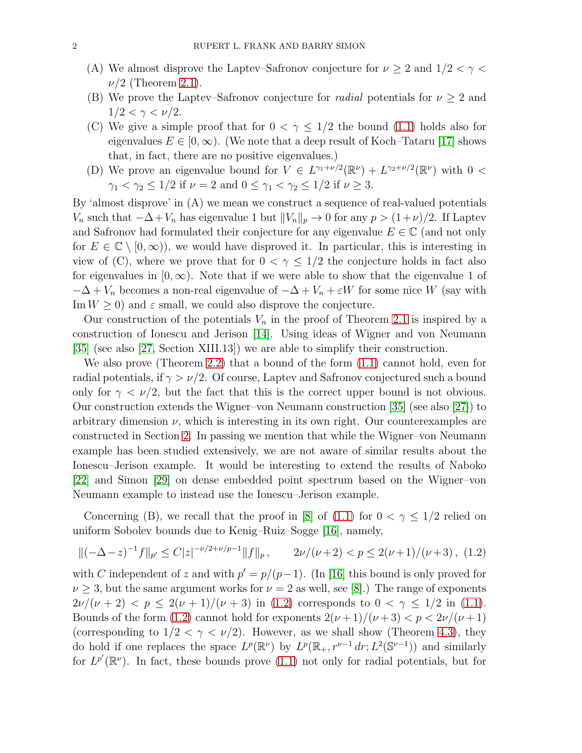- (A) We almost disprove the Laptev–Safronov conjecture for  $\nu \geq 2$  and  $1/2 < \gamma <$  $\nu/2$  (Theorem [2.1\)](#page-3-0).
- (B) We prove the Laptev–Safronov conjecture for *radial* potentials for  $\nu \geq 2$  and  $1/2 < \gamma < \nu/2$ .
- (C) We give a simple proof that for  $0 < \gamma \leq 1/2$  the bound [\(1.1\)](#page-0-0) holds also for eigenvalues  $E \in [0, \infty)$ . (We note that a deep result of Koch–Tataru [\[17\]](#page-19-2) shows that, in fact, there are no positive eigenvalues.)
- (D) We prove an eigenvalue bound for  $V \in L^{\gamma_1+\nu/2}(\mathbb{R}^{\nu}) + L^{\gamma_2+\nu/2}(\mathbb{R}^{\nu})$  with  $0 <$  $\gamma_1 < \gamma_2 \leq 1/2$  if  $\nu = 2$  and  $0 \leq \gamma_1 < \gamma_2 \leq 1/2$  if  $\nu \geq 3$ .

By 'almost disprove' in (A) we mean we construct a sequence of real-valued potentials  $V_n$  such that  $-\Delta + V_n$  has eigenvalue 1 but  $||V_n||_p \to 0$  for any  $p > (1+\nu)/2$ . If Laptev and Safronov had formulated their conjecture for any eigenvalue  $E \in \mathbb{C}$  (and not only for  $E \in \mathbb{C} \setminus [0,\infty)$ , we would have disproved it. In particular, this is interesting in view of (C), where we prove that for  $0 < \gamma \leq 1/2$  the conjecture holds in fact also for eigenvalues in  $[0, \infty)$ . Note that if we were able to show that the eigenvalue 1 of  $-\Delta + V_n$  becomes a non-real eigenvalue of  $-\Delta + V_n + \varepsilon W$  for some nice W (say with Im  $W \geq 0$ ) and  $\varepsilon$  small, we could also disprove the conjecture.

Our construction of the potentials  $V_n$  in the proof of Theorem [2.1](#page-3-0) is inspired by a construction of Ionescu and Jerison [\[14\]](#page-18-5). Using ideas of Wigner and von Neumann [\[35\]](#page-19-3) (see also [\[27,](#page-19-4) Section XIII.13]) we are able to simplify their construction.

We also prove (Theorem [2.2\)](#page-4-0) that a bound of the form [\(1.1\)](#page-0-0) cannot hold, even for radial potentials, if  $\gamma > \nu/2$ . Of course, Laptev and Safronov conjectured such a bound only for  $\gamma < \nu/2$ , but the fact that this is the correct upper bound is not obvious. Our construction extends the Wigner–von Neumann construction [\[35\]](#page-19-3) (see also [\[27\]](#page-19-4)) to arbitrary dimension  $\nu$ , which is interesting in its own right. Our counterexamples are constructed in Section [2.](#page-2-0) In passing we mention that while the Wigner–von Neumann example has been studied extensively, we are not aware of similar results about the Ionescu–Jerison example. It would be interesting to extend the results of Naboko [\[22\]](#page-19-5) and Simon [\[29\]](#page-19-6) on dense embedded point spectrum based on the Wigner–von Neumann example to instead use the Ionescu–Jerison example.

Concerning (B), we recall that the proof in [\[8\]](#page-18-4) of [\(1.1\)](#page-0-0) for  $0 < \gamma \leq 1/2$  relied on uniform Sobolev bounds due to Kenig–Ruiz–Sogge [\[16\]](#page-19-7), namely,

<span id="page-1-0"></span>
$$
\|(-\Delta - z)^{-1}f\|_{p'} \le C|z|^{-\nu/2 + \nu/p - 1}\|f\|_{p}, \qquad 2\nu/(\nu + 2) < p \le 2(\nu + 1)/(\nu + 3), \tag{1.2}
$$

with C independent of z and with  $p' = p/(p-1)$ . (In [\[16\]](#page-19-7) this bound is only proved for  $\nu \geq 3$ , but the same argument works for  $\nu = 2$  as well, see [\[8\]](#page-18-4).) The range of exponents  $2\nu/(\nu+2) < p \leq 2(\nu+1)/(\nu+3)$  in [\(1.2\)](#page-1-0) corresponds to  $0 < \gamma \leq 1/2$  in [\(1.1\)](#page-0-0). Bounds of the form [\(1.2\)](#page-1-0) cannot hold for exponents  $2(\nu+1)/(\nu+3) < p < 2\nu/(\nu+1)$ (corresponding to  $1/2 < \gamma < \nu/2$ ). However, as we shall show (Theorem [4.3\)](#page-9-0), they do hold if one replaces the space  $L^p(\mathbb{R}^\nu)$  by  $L^p(\mathbb{R}_+, r^{\nu-1} dr; L^2(\mathbb{S}^{\nu-1}))$  and similarly for  $L^{p'}(\mathbb{R}^{\nu})$ . In fact, these bounds prove [\(1.1\)](#page-0-0) not only for radial potentials, but for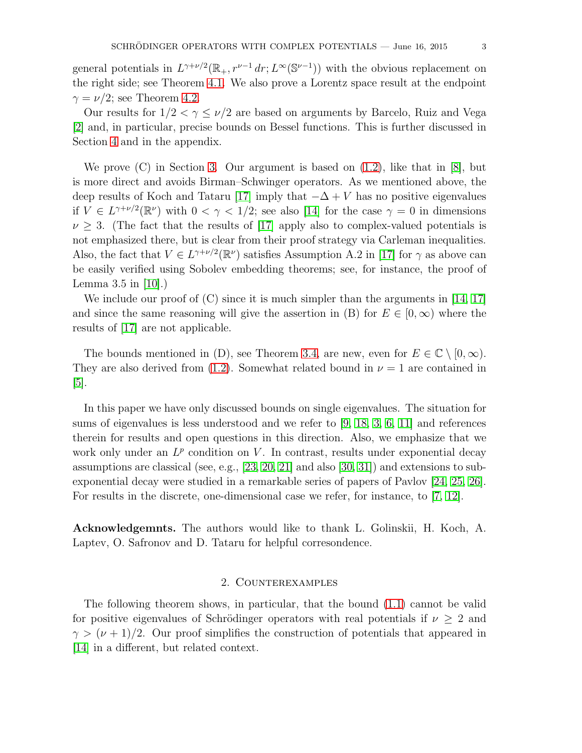general potentials in  $L^{\gamma+\nu/2}(\mathbb{R}_+, r^{\nu-1} dr; L^{\infty}(\mathbb{S}^{\nu-1}))$  with the obvious replacement on the right side; see Theorem [4.1.](#page-8-0) We also prove a Lorentz space result at the endpoint  $\gamma = \nu/2$ ; see Theorem [4.2.](#page-8-1)

Our results for  $1/2 < \gamma \leq \nu/2$  are based on arguments by Barcelo, Ruiz and Vega [\[2\]](#page-18-6) and, in particular, precise bounds on Bessel functions. This is further discussed in Section [4](#page-8-2) and in the appendix.

We prove  $(C)$  in Section [3.](#page-6-0) Our argument is based on  $(1.2)$ , like that in  $[8]$ , but is more direct and avoids Birman–Schwinger operators. As we mentioned above, the deep results of Koch and Tataru [\[17\]](#page-19-2) imply that  $-\Delta + V$  has no positive eigenvalues if  $V \in L^{\gamma+\nu/2}(\mathbb{R}^{\nu})$  with  $0 < \gamma < 1/2$ ; see also [\[14\]](#page-18-5) for the case  $\gamma = 0$  in dimensions  $\nu \geq 3$ . (The fact that the results of [\[17\]](#page-19-2) apply also to complex-valued potentials is not emphasized there, but is clear from their proof strategy via Carleman inequalities. Also, the fact that  $V \in L^{\gamma + \nu/2}(\mathbb{R}^{\nu})$  satisfies Assumption A.2 in [\[17\]](#page-19-2) for  $\gamma$  as above can be easily verified using Sobolev embedding theorems; see, for instance, the proof of Lemma 3.5 in [\[10\]](#page-18-7).)

We include our proof of  $(C)$  since it is much simpler than the arguments in [\[14,](#page-18-5) [17\]](#page-19-2) and since the same reasoning will give the assertion in (B) for  $E \in [0,\infty)$  where the results of [\[17\]](#page-19-2) are not applicable.

The bounds mentioned in (D), see Theorem [3.4,](#page-7-0) are new, even for  $E \in \mathbb{C} \setminus [0, \infty)$ . They are also derived from [\(1.2\)](#page-1-0). Somewhat related bound in  $\nu = 1$  are contained in  $|5|$ .

In this paper we have only discussed bounds on single eigenvalues. The situation for sums of eigenvalues is less understood and we refer to [\[9,](#page-18-8) [18,](#page-19-1) [3,](#page-18-9) [6,](#page-18-10) [11\]](#page-18-11) and references therein for results and open questions in this direction. Also, we emphasize that we work only under an  $L^p$  condition on V. In contrast, results under exponential decay assumptions are classical (see, e.g., [\[23,](#page-19-8) [20,](#page-19-9) [21\]](#page-19-10) and also [\[30,](#page-19-11) [31\]](#page-19-12)) and extensions to subexponential decay were studied in a remarkable series of papers of Pavlov [\[24,](#page-19-13) [25,](#page-19-14) [26\]](#page-19-15). For results in the discrete, one-dimensional case we refer, for instance, to [\[7,](#page-18-12) [12\]](#page-18-13).

Acknowledgemnts. The authors would like to thank L. Golinskii, H. Koch, A. Laptev, O. Safronov and D. Tataru for helpful corresondence.

## 2. Counterexamples

<span id="page-2-0"></span>The following theorem shows, in particular, that the bound [\(1.1\)](#page-0-0) cannot be valid for positive eigenvalues of Schrödinger operators with real potentials if  $\nu \geq 2$  and  $\gamma > (\nu + 1)/2$ . Our proof simplifies the construction of potentials that appeared in [\[14\]](#page-18-5) in a different, but related context.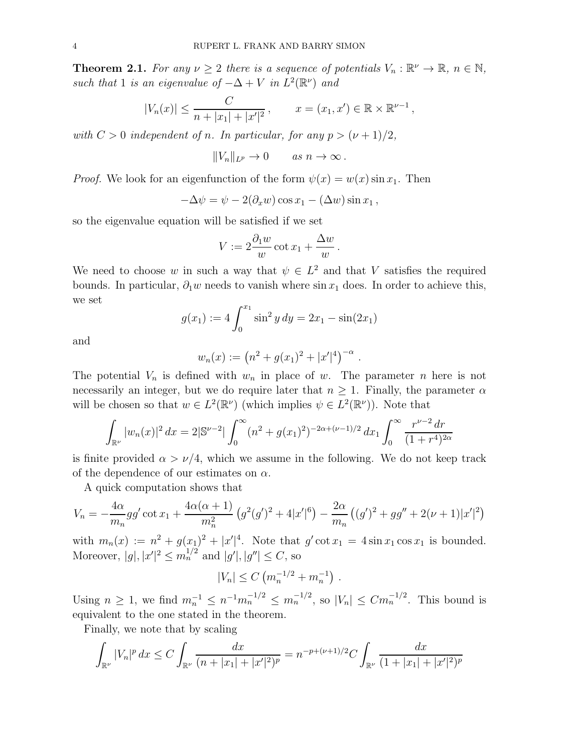<span id="page-3-0"></span>**Theorem 2.1.** For any  $\nu \geq 2$  there is a sequence of potentials  $V_n : \mathbb{R}^{\nu} \to \mathbb{R}, n \in \mathbb{N}$ , such that 1 is an eigenvalue of  $-\Delta + V$  in  $L^2(\mathbb{R}^{\nu})$  and

$$
|V_n(x)| \le \frac{C}{n+|x_1|+|x'|^2}
$$
,  $x = (x_1, x') \in \mathbb{R} \times \mathbb{R}^{\nu-1}$ ,

with  $C > 0$  independent of n. In particular, for any  $p > (\nu + 1)/2$ ,

$$
||V_n||_{L^p} \to 0 \quad as \quad n \to \infty \, .
$$

*Proof.* We look for an eigenfunction of the form  $\psi(x) = w(x) \sin x_1$ . Then

$$
-\Delta \psi = \psi - 2(\partial_x w) \cos x_1 - (\Delta w) \sin x_1,
$$

so the eigenvalue equation will be satisfied if we set

$$
V := 2\frac{\partial_1 w}{w} \cot x_1 + \frac{\Delta w}{w}.
$$

We need to choose w in such a way that  $\psi \in L^2$  and that V satisfies the required bounds. In particular,  $\partial_1 w$  needs to vanish where sin  $x_1$  does. In order to achieve this, we set

$$
g(x_1) := 4 \int_0^{x_1} \sin^2 y \, dy = 2x_1 - \sin(2x_1)
$$

and

$$
w_n(x) := (n^2 + g(x_1)^2 + |x'|^4)^{-\alpha}.
$$

The potential  $V_n$  is defined with  $w_n$  in place of w. The parameter n here is not necessarily an integer, but we do require later that  $n \geq 1$ . Finally, the parameter  $\alpha$ will be chosen so that  $w \in L^2(\mathbb{R}^{\nu})$  (which implies  $\psi \in L^2(\mathbb{R}^{\nu})$ ). Note that

$$
\int_{\mathbb{R}^{\nu}} |w_n(x)|^2 dx = 2|\mathbb{S}^{\nu-2}| \int_0^{\infty} (n^2 + g(x_1)^2)^{-2\alpha + (\nu-1)/2} dx_1 \int_0^{\infty} \frac{r^{\nu-2} dr}{(1+r^4)^{2\alpha}}
$$

is finite provided  $\alpha > \nu/4$ , which we assume in the following. We do not keep track of the dependence of our estimates on  $\alpha$ .

A quick computation shows that

$$
V_n = -\frac{4\alpha}{m_n}gg'\cot x_1 + \frac{4\alpha(\alpha+1)}{m_n^2}\left(g^2(g')^2 + 4|x'|^6\right) - \frac{2\alpha}{m_n}\left((g')^2 + gg'' + 2(\nu+1)|x'|^2\right)
$$

with  $m_n(x) := n^2 + g(x_1)^2 + |x'|^4$ . Note that  $g' \cot x_1 = 4 \sin x_1 \cos x_1$  is bounded. Moreover,  $|g|, |x'|^2 \le m_n^{1/2}$  and  $|g'|, |g''| \le C$ , so

$$
|V_n| \leq C \left( m_n^{-1/2} + m_n^{-1} \right) \, .
$$

Using  $n \geq 1$ , we find  $m_n^{-1} \leq n^{-1}m_n^{-1/2} \leq m_n^{-1/2}$ , so  $|V_n| \leq Cm_n^{-1/2}$ . This bound is equivalent to the one stated in the theorem.

Finally, we note that by scaling

$$
\int_{\mathbb{R}^{\nu}} |V_n|^p \, dx \le C \int_{\mathbb{R}^{\nu}} \frac{dx}{(n+|x_1|+|x'|^2)^p} = n^{-p + (\nu+1)/2} C \int_{\mathbb{R}^{\nu}} \frac{dx}{(1+|x_1|+|x'|^2)^p}
$$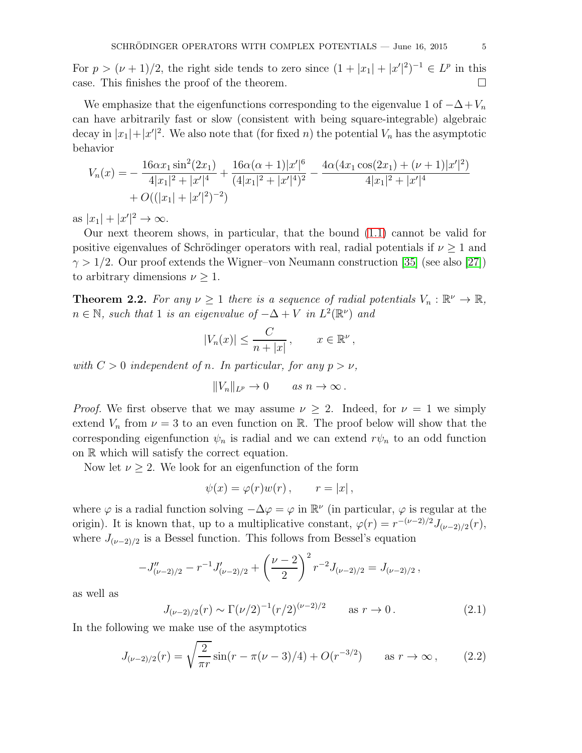For  $p > (\nu + 1)/2$ , the right side tends to zero since  $(1 + |x_1| + |x'|^2)^{-1} \in L^p$  in this case. This finishes the proof of the theorem.

We emphasize that the eigenfunctions corresponding to the eigenvalue 1 of  $-\Delta + V_n$ can have arbitrarily fast or slow (consistent with being square-integrable) algebraic decay in  $|x_1|+|x'|^2$ . We also note that (for fixed *n*) the potential  $V_n$  has the asymptotic behavior

$$
V_n(x) = -\frac{16\alpha x_1 \sin^2(2x_1)}{4|x_1|^2 + |x'|^4} + \frac{16\alpha(\alpha+1)|x'|^6}{(4|x_1|^2 + |x'|^4)^2} - \frac{4\alpha(4x_1 \cos(2x_1) + (\nu+1)|x'|^2)}{4|x_1|^2 + |x'|^4} + O((|x_1| + |x'|^2)^{-2})
$$

as  $|x_1| + |x'|^2 \to \infty$ .

Our next theorem shows, in particular, that the bound [\(1.1\)](#page-0-0) cannot be valid for positive eigenvalues of Schrödinger operators with real, radial potentials if  $\nu \geq 1$  and  $\gamma > 1/2$ . Our proof extends the Wigner–von Neumann construction [\[35\]](#page-19-3) (see also [\[27\]](#page-19-4)) to arbitrary dimensions  $\nu \geq 1$ .

<span id="page-4-0"></span>**Theorem 2.2.** For any  $\nu \geq 1$  there is a sequence of radial potentials  $V_n : \mathbb{R}^{\nu} \to \mathbb{R}$ ,  $n \in \mathbb{N}$ , such that 1 is an eigenvalue of  $-\Delta + V$  in  $L^2(\mathbb{R}^{\nu})$  and

$$
|V_n(x)| \leq \frac{C}{n+|x|}, \qquad x \in \mathbb{R}^\nu,
$$

with  $C > 0$  independent of n. In particular, for any  $p > \nu$ ,

$$
||V_n||_{L^p} \to 0 \quad as \quad n \to \infty \, .
$$

*Proof.* We first observe that we may assume  $\nu \geq 2$ . Indeed, for  $\nu = 1$  we simply extend  $V_n$  from  $\nu = 3$  to an even function on R. The proof below will show that the corresponding eigenfunction  $\psi_n$  is radial and we can extend  $r\psi_n$  to an odd function on R which will satisfy the correct equation.

Now let  $\nu \geq 2$ . We look for an eigenfunction of the form

$$
\psi(x) = \varphi(r)w(r), \qquad r = |x|,
$$

where  $\varphi$  is a radial function solving  $-\Delta\varphi = \varphi$  in  $\mathbb{R}^{\nu}$  (in particular,  $\varphi$  is regular at the origin). It is known that, up to a multiplicative constant,  $\varphi(r) = r^{-(\nu-2)/2} J_{(\nu-2)/2}(r)$ , where  $J_{(\nu-2)/2}$  is a Bessel function. This follows from Bessel's equation

$$
-J''_{(\nu-2)/2} - r^{-1}J'_{(\nu-2)/2} + \left(\frac{\nu-2}{2}\right)^2 r^{-2}J_{(\nu-2)/2} = J_{(\nu-2)/2},
$$

as well as

<span id="page-4-2"></span>
$$
J_{(\nu-2)/2}(r) \sim \Gamma(\nu/2)^{-1} (r/2)^{(\nu-2)/2}
$$
 as  $r \to 0$ . (2.1)

In the following we make use of the asymptotics

<span id="page-4-1"></span>
$$
J_{(\nu-2)/2}(r) = \sqrt{\frac{2}{\pi r}} \sin(r - \pi(\nu - 3)/4) + O(r^{-3/2}) \quad \text{as } r \to \infty,
$$
 (2.2)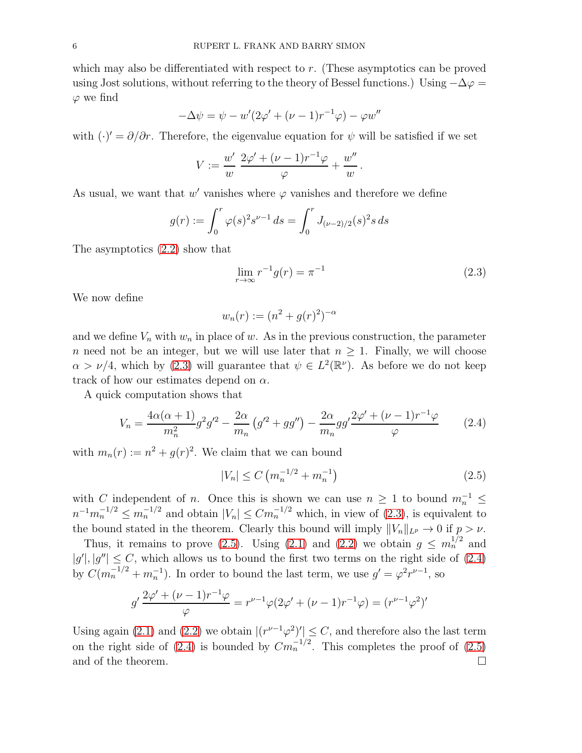which may also be differentiated with respect to r. (These asymptotics can be proved using Jost solutions, without referring to the theory of Bessel functions.) Using  $-\Delta\varphi =$  $\varphi$  we find

$$
-\Delta \psi = \psi - w'(2\varphi' + (\nu - 1)r^{-1}\varphi) - \varphi w''
$$

with  $(\cdot)' = \partial/\partial r$ . Therefore, the eigenvalue equation for  $\psi$  will be satisfied if we set

$$
V := \frac{w'}{w} \frac{2\varphi' + (\nu - 1)r^{-1}\varphi}{\varphi} + \frac{w''}{w}.
$$

As usual, we want that  $w'$  vanishes where  $\varphi$  vanishes and therefore we define

$$
g(r) := \int_0^r \varphi(s)^2 s^{\nu - 1} ds = \int_0^r J_{(\nu - 2)/2}(s)^2 s ds
$$

The asymptotics [\(2.2\)](#page-4-1) show that

<span id="page-5-0"></span>
$$
\lim_{r \to \infty} r^{-1} g(r) = \pi^{-1}
$$
\n(2.3)

We now define

$$
w_n(r) := (n^2 + g(r)^2)^{-\alpha}
$$

and we define  $V_n$  with  $w_n$  in place of w. As in the previous construction, the parameter n need not be an integer, but we will use later that  $n \geq 1$ . Finally, we will choose  $\alpha > \nu/4$ , which by [\(2.3\)](#page-5-0) will guarantee that  $\psi \in L^2(\mathbb{R}^{\nu})$ . As before we do not keep track of how our estimates depend on  $\alpha$ .

A quick computation shows that

<span id="page-5-2"></span>
$$
V_n = \frac{4\alpha(\alpha+1)}{m_n^2}g^2g'^2 - \frac{2\alpha}{m_n}\left(g'^2 + gg''\right) - \frac{2\alpha}{m_n}gg'\frac{2\varphi' + (\nu - 1)r^{-1}\varphi}{\varphi} \tag{2.4}
$$

with  $m_n(r) := n^2 + g(r)^2$ . We claim that we can bound

<span id="page-5-1"></span>
$$
|V_n| \le C \left( m_n^{-1/2} + m_n^{-1} \right) \tag{2.5}
$$

with C independent of n. Once this is shown we can use  $n \geq 1$  to bound  $m_n^{-1} \leq$  $n^{-1}m_n^{-1/2} \le m_n^{-1/2}$  and obtain  $|V_n| \le Cm_n^{-1/2}$  which, in view of [\(2.3\)](#page-5-0), is equivalent to the bound stated in the theorem. Clearly this bound will imply  $||V_n||_{L^p} \to 0$  if  $p > \nu$ .

Thus, it remains to prove [\(2.5\)](#page-5-1). Using [\(2.1\)](#page-4-2) and [\(2.2\)](#page-4-1) we obtain  $g \n\t\leq m_n^{1/2}$  and  $|g'|, |g''| \leq C$ , which allows us to bound the first two terms on the right side of [\(2.4\)](#page-5-2) by  $C(m_n^{-1/2} + m_n^{-1})$ . In order to bound the last term, we use  $g' = \varphi^2 r^{\nu-1}$ , so

$$
g'\frac{2\varphi' + (\nu - 1)r^{-1}\varphi}{\varphi} = r^{\nu - 1}\varphi(2\varphi' + (\nu - 1)r^{-1}\varphi) = (r^{\nu - 1}\varphi^2)'
$$

Using again [\(2.1\)](#page-4-2) and [\(2.2\)](#page-4-1) we obtain  $|(r^{\nu-1}\varphi^2)'| \leq C$ , and therefore also the last term on the right side of [\(2.4\)](#page-5-2) is bounded by  $Cm<sub>n</sub><sup>-1/2</sup>$ . This completes the proof of [\(2.5\)](#page-5-1) and of the theorem.  $\hfill \square$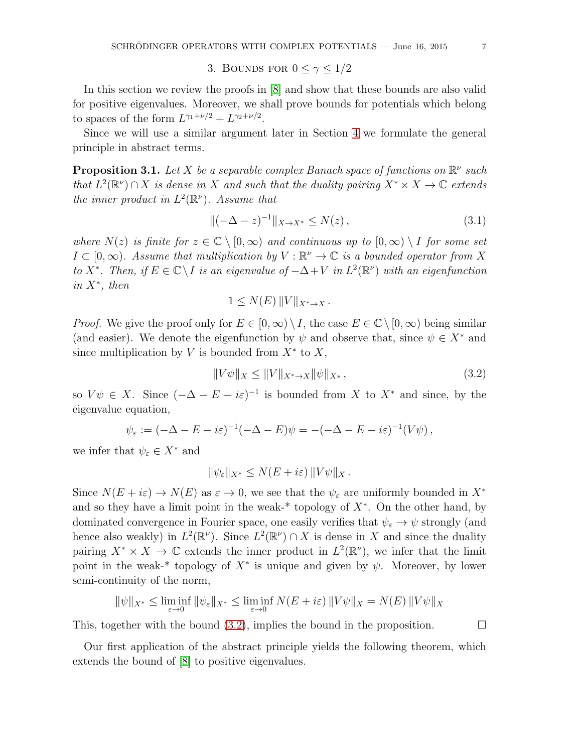3. BOUNDS FOR  $0 \leq \gamma \leq 1/2$ 

<span id="page-6-0"></span>In this section we review the proofs in [\[8\]](#page-18-4) and show that these bounds are also valid for positive eigenvalues. Moreover, we shall prove bounds for potentials which belong to spaces of the form  $L^{\gamma_1+\nu/2}+L^{\gamma_2+\nu/2}$ .

Since we will use a similar argument later in Section [4](#page-8-2) we formulate the general principle in abstract terms.

<span id="page-6-2"></span>**Proposition 3.1.** Let X be a separable complex Banach space of functions on  $\mathbb{R}^{\nu}$  such that  $L^2(\mathbb{R}^{\nu}) \cap X$  is dense in X and such that the duality pairing  $X^* \times X \to \mathbb{C}$  extends the inner product in  $L^2(\mathbb{R}^{\nu})$ . Assume that

<span id="page-6-3"></span>
$$
\|(-\Delta - z)^{-1}\|_{X \to X^*} \le N(z),\tag{3.1}
$$

where  $N(z)$  is finite for  $z \in \mathbb{C} \setminus [0,\infty)$  and continuous up to  $[0,\infty) \setminus I$  for some set  $I \subset [0,\infty)$ . Assume that multiplication by  $V : \mathbb{R}^{\nu} \to \mathbb{C}$  is a bounded operator from X to X<sup>\*</sup>. Then, if  $E \in \mathbb{C} \setminus I$  is an eigenvalue of  $-\Delta + V$  in  $L^2(\mathbb{R}^{\nu})$  with an eigenfunction in  $X^*$ , then

$$
1 \leq N(E) ||V||_{X^* \to X}.
$$

*Proof.* We give the proof only for  $E \in [0,\infty) \setminus I$ , the case  $E \in \mathbb{C} \setminus [0,\infty)$  being similar (and easier). We denote the eigenfunction by  $\psi$  and observe that, since  $\psi \in X^*$  and since multiplication by V is bounded from  $X^*$  to  $X$ ,

<span id="page-6-1"></span>
$$
||V\psi||_X \le ||V||_{X^* \to X} ||\psi||_{X^*},
$$
\n(3.2)

so  $V\psi \in X$ . Since  $(-\Delta - E - i\varepsilon)^{-1}$  is bounded from X to  $X^*$  and since, by the eigenvalue equation,

$$
\psi_{\varepsilon} := (-\Delta - E - i\varepsilon)^{-1}(-\Delta - E)\psi = -(-\Delta - E - i\varepsilon)^{-1}(V\psi),
$$

we infer that  $\psi_{\varepsilon} \in X^*$  and

$$
\|\psi_{\varepsilon}\|_{X^*} \leq N(E + i\varepsilon) \|V\psi\|_X.
$$

Since  $N(E + i\varepsilon) \to N(E)$  as  $\varepsilon \to 0$ , we see that the  $\psi_{\varepsilon}$  are uniformly bounded in  $X^*$ and so they have a limit point in the weak-\* topology of  $X^*$ . On the other hand, by dominated convergence in Fourier space, one easily verifies that  $\psi_{\varepsilon} \to \psi$  strongly (and hence also weakly) in  $L^2(\mathbb{R}^{\nu})$ . Since  $L^2(\mathbb{R}^{\nu}) \cap X$  is dense in X and since the duality pairing  $X^* \times X \to \mathbb{C}$  extends the inner product in  $L^2(\mathbb{R}^{\nu})$ , we infer that the limit point in the weak-<sup>\*</sup> topology of  $X^*$  is unique and given by  $\psi$ . Moreover, by lower semi-continuity of the norm,

$$
\|\psi\|_{X^*} \le \liminf_{\varepsilon \to 0} \|\psi_{\varepsilon}\|_{X^*} \le \liminf_{\varepsilon \to 0} N(E + i\varepsilon) \|V\psi\|_{X} = N(E) \|V\psi\|_{X}
$$

This, together with the bound  $(3.2)$ , implies the bound in the proposition.

Our first application of the abstract principle yields the following theorem, which extends the bound of [\[8\]](#page-18-4) to positive eigenvalues.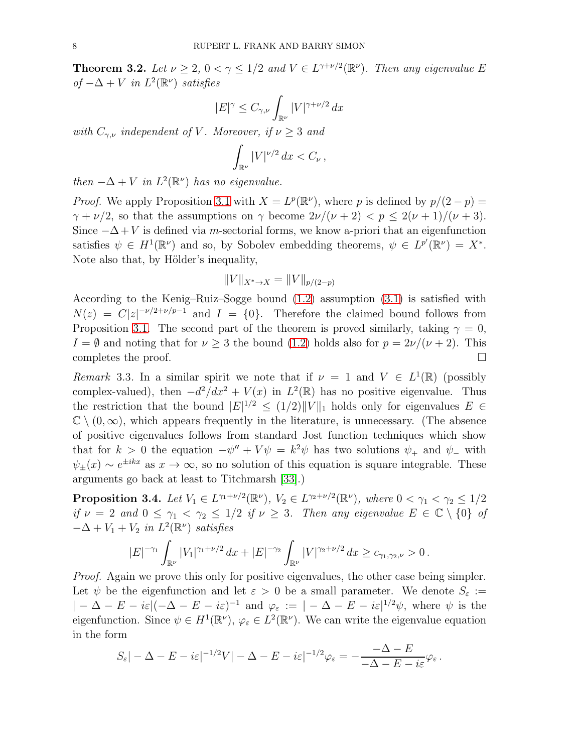<span id="page-7-1"></span>**Theorem 3.2.** Let  $\nu \geq 2$ ,  $0 < \gamma \leq 1/2$  and  $V \in L^{\gamma + \nu/2}(\mathbb{R}^{\nu})$ . Then any eigenvalue E of  $-\Delta + V$  in  $L^2(\mathbb{R}^{\nu})$  satisfies

$$
|E|^{\gamma} \le C_{\gamma,\nu} \int_{\mathbb{R}^{\nu}} |V|^{\gamma + \nu/2} dx
$$

with  $C_{\gamma,\nu}$  independent of V. Moreover, if  $\nu \geq 3$  and

$$
\int_{\mathbb{R}^{\nu}} |V|^{\nu/2} dx < C_{\nu},
$$

then  $-\Delta + V$  in  $L^2(\mathbb{R}^{\nu})$  has no eigenvalue.

*Proof.* We apply Proposition [3.1](#page-6-2) with  $X = L^p(\mathbb{R}^{\nu})$ , where p is defined by  $p/(2 - p) =$  $\gamma + \nu/2$ , so that the assumptions on  $\gamma$  become  $2\nu/(\nu+2) < p \leq 2(\nu+1)/(\nu+3)$ . Since  $-\Delta + V$  is defined via m-sectorial forms, we know a-priori that an eigenfunction satisfies  $\psi \in H^1(\mathbb{R}^{\nu})$  and so, by Sobolev embedding theorems,  $\psi \in L^{p'}(\mathbb{R}^{\nu}) = X^*$ . Note also that, by Hölder's inequality,

$$
||V||_{X^* \to X} = ||V||_{p/(2-p)}
$$

According to the Kenig–Ruiz–Sogge bound [\(1.2\)](#page-1-0) assumption [\(3.1\)](#page-6-3) is satisfied with  $N(z) = C|z|^{-\nu/2+\nu/p-1}$  and  $I = \{0\}$ . Therefore the claimed bound follows from Proposition [3.1.](#page-6-2) The second part of the theorem is proved similarly, taking  $\gamma = 0$ ,  $I = \emptyset$  and noting that for  $\nu \geq 3$  the bound [\(1.2\)](#page-1-0) holds also for  $p = 2\nu/(\nu + 2)$ . This completes the proof. completes the proof.

Remark 3.3. In a similar spirit we note that if  $\nu = 1$  and  $V \in L^1(\mathbb{R})$  (possibly complex-valued), then  $-d^2/dx^2 + V(x)$  in  $L^2(\mathbb{R})$  has no positive eigenvalue. Thus the restriction that the bound  $|E|^{1/2} \le (1/2) ||V||_1$  holds only for eigenvalues  $E \in$  $\mathbb{C} \setminus (0,\infty)$ , which appears frequently in the literature, is unnecessary. (The absence of positive eigenvalues follows from standard Jost function techniques which show that for  $k > 0$  the equation  $-\psi'' + V\psi = k^2\psi$  has two solutions  $\psi_+$  and  $\psi_-$  with  $\psi_{\pm}(x) \sim e^{\pm i k x}$  as  $x \to \infty$ , so no solution of this equation is square integrable. These arguments go back at least to Titchmarsh [\[33\]](#page-19-16).)

<span id="page-7-0"></span>**Proposition 3.4.** Let  $V_1 \in L^{\gamma_1 + \nu/2}(\mathbb{R}^{\nu})$ ,  $V_2 \in L^{\gamma_2 + \nu/2}(\mathbb{R}^{\nu})$ , where  $0 < \gamma_1 < \gamma_2 \leq 1/2$ if  $\nu = 2$  and  $0 \le \gamma_1 < \gamma_2 \le 1/2$  if  $\nu \ge 3$ . Then any eigenvalue  $E \in \mathbb{C} \setminus \{0\}$  of  $-\Delta + V_1 + V_2$  in  $L^2(\mathbb{R}^{\nu})$  satisfies

$$
|E|^{-\gamma_1} \int_{\mathbb{R}^\nu} |V_1|^{\gamma_1+\nu/2} \, dx + |E|^{-\gamma_2} \int_{\mathbb{R}^\nu} |V|^{\gamma_2+\nu/2} \, dx \geq c_{\gamma_1, \gamma_2, \nu} > 0 \, .
$$

Proof. Again we prove this only for positive eigenvalues, the other case being simpler. Let  $\psi$  be the eigenfunction and let  $\varepsilon > 0$  be a small parameter. We denote  $S_{\varepsilon} :=$  $| -\Delta - E - i\varepsilon |(-\Delta - E - i\varepsilon)^{-1}$  and  $\varphi_{\varepsilon} := | -\Delta - E - i\varepsilon |^{1/2}\psi$ , where  $\psi$  is the eigenfunction. Since  $\psi \in H^1(\mathbb{R}^\nu)$ ,  $\varphi_\varepsilon \in L^2(\mathbb{R}^\nu)$ . We can write the eigenvalue equation in the form

$$
S_{\varepsilon}| - \Delta - E - i\varepsilon|^{-1/2}V| - \Delta - E - i\varepsilon|^{-1/2}\varphi_{\varepsilon} = -\frac{-\Delta - E}{-\Delta - E - i\varepsilon}\varphi_{\varepsilon}.
$$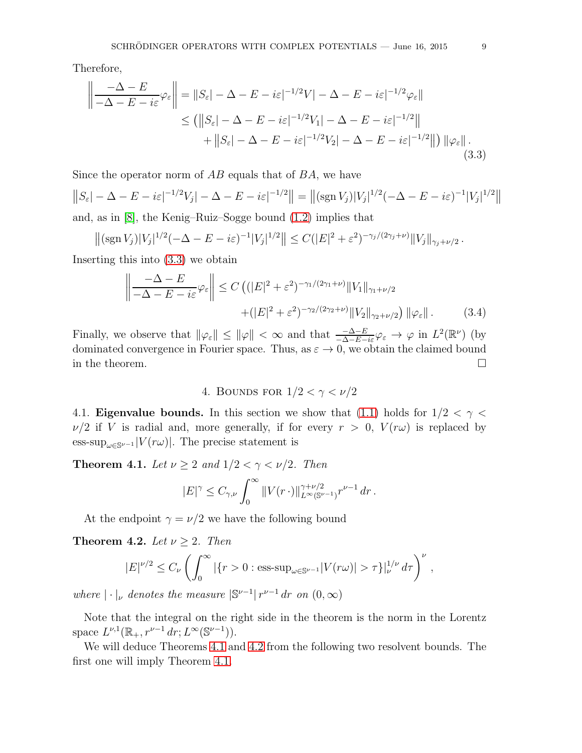Therefore,

$$
\left\| \frac{-\Delta - E}{-\Delta - E - i\varepsilon} \varphi_{\varepsilon} \right\| = \|S_{\varepsilon}| - \Delta - E - i\varepsilon|^{-1/2} V| - \Delta - E - i\varepsilon|^{-1/2} \varphi_{\varepsilon}\|
$$
  
\n
$$
\leq (||S_{\varepsilon}| - \Delta - E - i\varepsilon|^{-1/2} V_1| - \Delta - E - i\varepsilon|^{-1/2}||
$$
  
\n
$$
+ ||S_{\varepsilon}| - \Delta - E - i\varepsilon|^{-1/2} V_2| - \Delta - E - i\varepsilon|^{-1/2}||) ||\varphi_{\varepsilon}||.
$$
\n(3.3)

Since the operator norm of  $AB$  equals that of  $BA$ , we have

$$
||S_{\varepsilon}| - \Delta - E - i\varepsilon|^{-1/2}V_j| - \Delta - E - i\varepsilon|^{-1/2}|| = ||(\operatorname{sgn} V_j)|V_j|^{1/2}(-\Delta - E - i\varepsilon)^{-1}|V_j|^{1/2}||
$$
  
and as in [8] the Konic-Ruiz-Sorge bound (1.2) implies that

and, as in [\[8\]](#page-18-4), the Kenig–Ruiz–Sogge bound [\(1.2\)](#page-1-0) implies that

$$
\left\|(\operatorname{sgn} V_j)|V_j|^{1/2}(-\Delta - E - i\varepsilon)^{-1}|V_j|^{1/2}\right\| \le C(|E|^2 + \varepsilon^2)^{-\gamma_j/(2\gamma_j + \nu)}\|V_j\|_{\gamma_j + \nu/2}.
$$

Inserting this into [\(3.3\)](#page-8-3) we obtain

$$
\left\| \frac{-\Delta - E}{-\Delta - E - i\varepsilon} \varphi_{\varepsilon} \right\| \le C \left( (|E|^2 + \varepsilon^2)^{-\gamma_1/(2\gamma_1 + \nu)} \|V_1\|_{\gamma_1 + \nu/2} + (|E|^2 + \varepsilon^2)^{-\gamma_2/(2\gamma_2 + \nu)} \|V_2\|_{\gamma_2 + \nu/2} \right) \|\varphi_{\varepsilon}\|.
$$
 (3.4)

Finally, we observe that  $\|\varphi_{\varepsilon}\| \leq \|\varphi\| < \infty$  and that  $\frac{-\Delta - E}{-\Delta - E - i\varepsilon}\varphi_{\varepsilon} \to \varphi$  in  $L^2(\mathbb{R}^{\nu})$  (by dominated convergence in Fourier space. Thus, as  $\varepsilon \to 0$ , we obtain the claimed bound in the theorem. in the theorem.

<span id="page-8-3"></span>4. BOUNDS FOR  $1/2 < \gamma < \nu/2$ 

<span id="page-8-2"></span>4.1. **Eigenvalue bounds.** In this section we show that [\(1.1\)](#page-0-0) holds for  $1/2 < \gamma <$  $\nu/2$  if V is radial and, more generally, if for every  $r > 0$ ,  $V(r\omega)$  is replaced by ess-sup<sub> $\omega \in \mathbb{S}^{\nu-1}$ </sub>  $|V(r\omega)|$ . The precise statement is

<span id="page-8-0"></span>**Theorem 4.1.** Let  $\nu \geq 2$  and  $1/2 < \gamma < \nu/2$ . Then

$$
|E|^\gamma \leq C_{\gamma,\nu} \int_0^\infty \|V(r\,\cdot\,)\|_{L^\infty(\mathbb{S}^{\nu-1})}^{\gamma+\nu/2} r^{\nu-1}\,dr\,.
$$

At the endpoint  $\gamma = \nu/2$  we have the following bound

<span id="page-8-1"></span>**Theorem 4.2.** Let  $\nu \geq 2$ . Then

$$
|E|^{\nu/2} \le C_{\nu} \left( \int_0^\infty |\{r>0 : \text{ess-sup}_{\omega \in \mathbb{S}^{\nu-1}} |V(r\omega)| > \tau \}^{\frac{1}{\nu}}_{\nu} d\tau \right)^{\nu},
$$

where  $|\cdot|_{\nu}$  denotes the measure  $\left|\mathbb{S}^{\nu-1}\right| r^{\nu-1} dr$  on  $(0,\infty)$ 

Note that the integral on the right side in the theorem is the norm in the Lorentz space  $L^{\nu,1}(\mathbb{R}_+, r^{\nu-1} dr; L^{\infty}(\mathbb{S}^{\nu-1})).$ 

We will deduce Theorems [4.1](#page-8-0) and [4.2](#page-8-1) from the following two resolvent bounds. The first one will imply Theorem [4.1.](#page-8-0)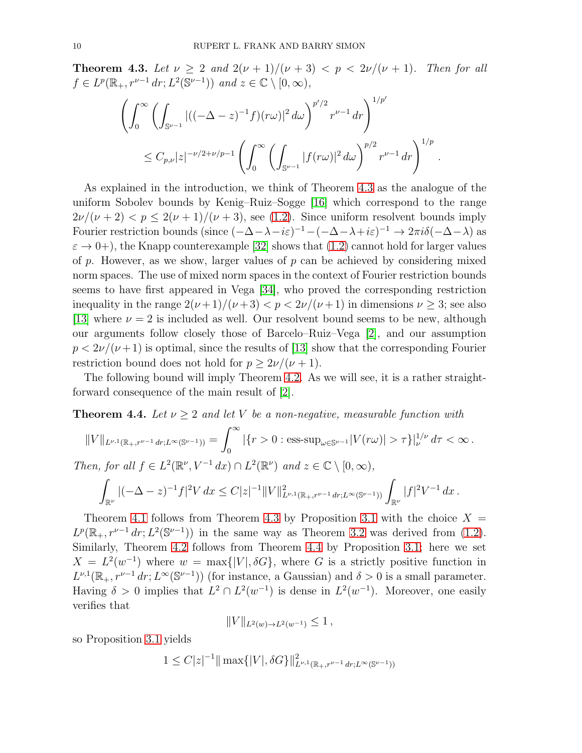<span id="page-9-0"></span>**Theorem 4.3.** Let  $\nu \geq 2$  and  $2(\nu + 1)/(\nu + 3) < p < 2\nu/(\nu + 1)$ . Then for all  $f \in L^p(\mathbb{R}_+, r^{\nu-1} dr; L^2(\mathbb{S}^{\nu-1}))$  and  $z \in \mathbb{C} \setminus [0, \infty)$ ,

$$
\left(\int_0^\infty \left(\int_{\mathbb{S}^{\nu-1}} |((-\Delta-z)^{-1}f)(r\omega)|^2 d\omega\right)^{p'/2} r^{\nu-1} dr\right)^{1/p'}
$$
  

$$
\leq C_{p,\nu} |z|^{-\nu/2+\nu/p-1} \left(\int_0^\infty \left(\int_{\mathbb{S}^{\nu-1}} |f(r\omega)|^2 d\omega\right)^{p/2} r^{\nu-1} dr\right)^{1/p}
$$

.

As explained in the introduction, we think of Theorem [4.3](#page-9-0) as the analogue of the uniform Sobolev bounds by Kenig–Ruiz–Sogge [\[16\]](#page-19-7) which correspond to the range  $2\nu/(\nu+2) < p \leq 2(\nu+1)/(\nu+3)$ , see [\(1.2\)](#page-1-0). Since uniform resolvent bounds imply Fourier restriction bounds (since  $(-\Delta - \lambda - i\varepsilon)^{-1} - (-\Delta - \lambda + i\varepsilon)^{-1} \to 2\pi i \delta(-\Delta - \lambda)$  as  $\varepsilon \to 0+$ ), the Knapp counterexample [\[32\]](#page-19-17) shows that [\(1.2\)](#page-1-0) cannot hold for larger values of  $p$ . However, as we show, larger values of  $p$  can be achieved by considering mixed norm spaces. The use of mixed norm spaces in the context of Fourier restriction bounds seems to have first appeared in Vega [\[34\]](#page-19-18), who proved the corresponding restriction inequality in the range  $2(\nu+1)/(\nu+3) < p < 2\nu/(\nu+1)$  in dimensions  $\nu \geq 3$ ; see also [\[13\]](#page-18-14) where  $\nu = 2$  is included as well. Our resolvent bound seems to be new, although our arguments follow closely those of Barcelo–Ruiz–Vega [\[2\]](#page-18-6), and our assumption  $p < 2\nu/(\nu+1)$  is optimal, since the results of [\[13\]](#page-18-14) show that the corresponding Fourier restriction bound does not hold for  $p \geq 2\nu/(\nu+1)$ .

The following bound will imply Theorem [4.2.](#page-8-1) As we will see, it is a rather straightforward consequence of the main result of [\[2\]](#page-18-6).

<span id="page-9-1"></span>**Theorem 4.4.** Let  $\nu \geq 2$  and let V be a non-negative, measurable function with

$$
||V||_{L^{\nu,1}(\mathbb{R}_+,r^{\nu-1}dr;L^{\infty}(\mathbb{S}^{\nu-1}))} = \int_0^{\infty} |\{r>0: \text{ess-sup}_{\omega \in \mathbb{S}^{\nu-1}}|V(r\omega)| > \tau\}|_{\nu}^{1/\nu} d\tau < \infty.
$$
  
Then, for all  $f \in L^2(\mathbb{R}^{\nu}, V^{-1}dx) \cap L^2(\mathbb{R}^{\nu})$  and  $z \in \mathbb{C} \setminus [0,\infty)$ ,  

$$
\int_{\mathbb{R}^{\nu}} |(-\Delta - z)^{-1}f|^2 V dx \leq C|z|^{-1} ||V||_{L^{\nu,1}(\mathbb{R}_+,r^{\nu-1}dr;L^{\infty}(\mathbb{S}^{\nu-1}))} \int_{\mathbb{R}^{\nu}} |f|^2 V^{-1} dx.
$$

Theorem [4.1](#page-8-0) follows from Theorem [4.3](#page-9-0) by Proposition [3.1](#page-6-2) with the choice  $X =$  $L^p(\mathbb{R}_+, r^{\nu-1} dr; L^2(\mathbb{S}^{\nu-1}))$  in the same way as Theorem [3.2](#page-7-1) was derived from [\(1.2\)](#page-1-0). Similarly, Theorem [4.2](#page-8-1) follows from Theorem [4.4](#page-9-1) by Proposition [3.1;](#page-6-2) here we set  $X = L<sup>2</sup>(w<sup>-1</sup>)$  where  $w = \max\{|V|, \delta G\}$ , where G is a strictly positive function in  $L^{\nu,1}(\mathbb{R}_+, r^{\nu-1} dr; L^{\infty}(\mathbb{S}^{\nu-1}))$  (for instance, a Gaussian) and  $\delta > 0$  is a small parameter. Having  $\delta > 0$  implies that  $L^2 \cap L^2(w^{-1})$  is dense in  $L^2(w^{-1})$ . Moreover, one easily verifies that

$$
||V||_{L^2(w)\to L^2(w^{-1})} \leq 1,
$$

so Proposition [3.1](#page-6-2) yields

$$
1 \leq C|z|^{-1} \|\max\{|V|, \delta G\}\|_{L^{\nu,1}(\mathbb{R}_+, r^{\nu-1} dr; L^{\infty}(\mathbb{S}^{\nu-1}))}
$$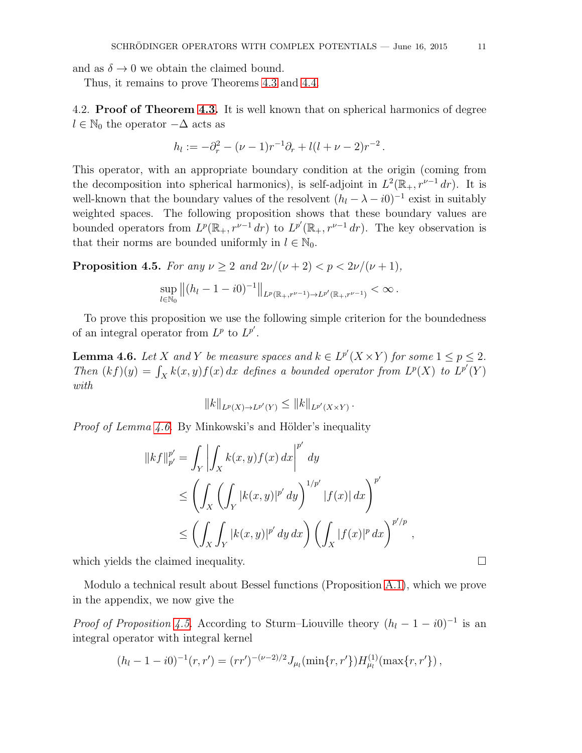and as  $\delta \to 0$  we obtain the claimed bound.

Thus, it remains to prove Theorems [4.3](#page-9-0) and [4.4.](#page-9-1)

4.2. **Proof of Theorem [4.3.](#page-9-0)** It is well known that on spherical harmonics of degree  $l \in \mathbb{N}_0$  the operator  $-\Delta$  acts as

$$
h_l := -\partial_r^2 - (\nu - 1)r^{-1}\partial_r + l(l + \nu - 2)r^{-2}.
$$

This operator, with an appropriate boundary condition at the origin (coming from the decomposition into spherical harmonics), is self-adjoint in  $L^2(\mathbb{R}_+, r^{\nu-1} dr)$ . It is well-known that the boundary values of the resolvent  $(h_l - \lambda - i0)^{-1}$  exist in suitably weighted spaces. The following proposition shows that these boundary values are bounded operators from  $L^p(\mathbb{R}_+, r^{\nu-1} dr)$  to  $L^{p'}(\mathbb{R}_+, r^{\nu-1} dr)$ . The key observation is that their norms are bounded uniformly in  $l \in \mathbb{N}_0$ .

<span id="page-10-1"></span>**Proposition 4.5.** For any  $\nu \geq 2$  and  $2\nu/(\nu+2) < p < 2\nu/(\nu+1)$ ,

$$
\sup_{l\in\mathbb{N}_0}\left\|(h_l-1-i0)^{-1}\right\|_{L^p(\mathbb{R}_+,r^{\nu-1})\to L^{p'}(\mathbb{R}_+,r^{\nu-1})}<\infty.
$$

To prove this proposition we use the following simple criterion for the boundedness of an integral operator from  $L^p$  to  $L^{p'}$ .

<span id="page-10-0"></span>**Lemma 4.6.** Let X and Y be measure spaces and  $k \in L^{p'}(X \times Y)$  for some  $1 \leq p \leq 2$ . Then  $(kf)(y) = \int_X k(x, y) f(x) dx$  defines a bounded operator from  $L^p(X)$  to  $L^{p'}(Y)$ with

$$
||k||_{L^p(X) \to L^{p'}(Y)} \leq ||k||_{L^{p'}(X \times Y)}.
$$

*Proof of Lemma [4.6.](#page-10-0)* By Minkowski's and Hölder's inequality

$$
||kf||_{p'}^{p'} = \int_{Y} \left| \int_{X} k(x, y) f(x) dx \right|^{p'} dy
$$
  
\n
$$
\leq \left( \int_{X} \left( \int_{Y} |k(x, y)|^{p'} dy \right)^{1/p'} |f(x)| dx \right)^{p'}
$$
  
\n
$$
\leq \left( \int_{X} \int_{Y} |k(x, y)|^{p'} dy dx \right) \left( \int_{X} |f(x)|^{p} dx \right)^{p'/p},
$$

which yields the claimed inequality.

Modulo a technical result about Bessel functions (Proposition [A.1\)](#page-15-0), which we prove in the appendix, we now give the

*Proof of Proposition [4.5.](#page-10-1)* According to Sturm–Liouville theory  $(h_l - 1 - i0)^{-1}$  is an integral operator with integral kernel

$$
(h_l - 1 - i0)^{-1}(r, r') = (rr')^{-(\nu - 2)/2} J_{\mu_l}(\min\{r, r'\}) H_{\mu_l}^{(1)}(\max\{r, r'\}),
$$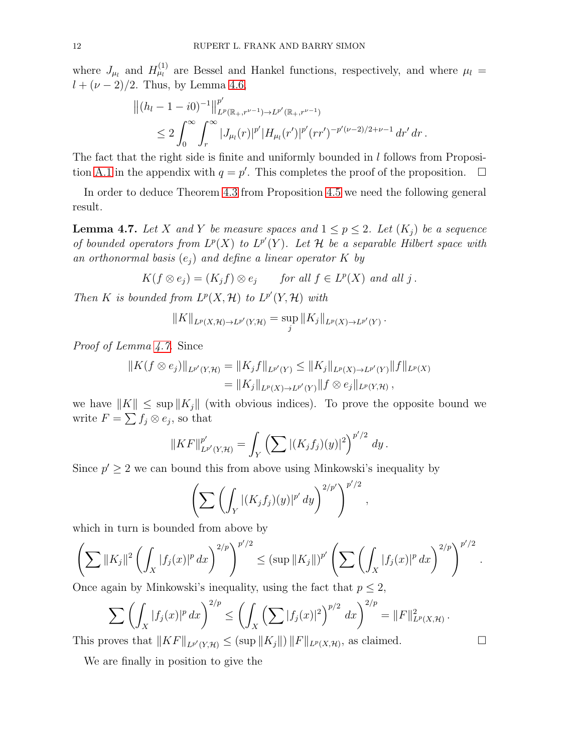where  $J_{\mu_l}$  and  $H_{\mu_l}^{(1)}$  are Bessel and Hankel functions, respectively, and where  $\mu_l =$  $l + (\nu - 2)/2$ . Thus, by Lemma [4.6,](#page-10-0)

$$
||(h_l - 1 - i0)^{-1}||_{L^p(\mathbb{R}_+, r^{\nu-1}) \to L^{p'}(\mathbb{R}_+, r^{\nu-1})}
$$
  
\n
$$
\leq 2 \int_0^\infty \int_r^\infty |J_{\mu_l}(r)|^{p'} |H_{\mu_l}(r')|^{p'} (rr')^{-p'(\nu-2)/2 + \nu - 1} dr' dr.
$$

The fact that the right side is finite and uniformly bounded in  $l$  follows from Proposi-tion [A.1](#page-15-0) in the appendix with  $q = p'$ . This completes the proof of the proposition.  $\Box$ 

In order to deduce Theorem [4.3](#page-9-0) from Proposition [4.5](#page-10-1) we need the following general result.

<span id="page-11-0"></span>**Lemma 4.7.** Let X and Y be measure spaces and  $1 \leq p \leq 2$ . Let  $(K_i)$  be a sequence of bounded operators from  $L^p(X)$  to  $L^{p'}(Y)$ . Let H be a separable Hilbert space with an orthonormal basis  $(e_i)$  and define a linear operator K by

$$
K(f \otimes e_j) = (K_j f) \otimes e_j \quad \text{for all } f \in L^p(X) \text{ and all } j.
$$

Then K is bounded from  $L^p(X, \mathcal{H})$  to  $L^{p'}(Y, \mathcal{H})$  with

$$
||K||_{L^p(X,\mathcal{H})\to L^{p'}(Y,\mathcal{H})} = \sup_j ||K_j||_{L^p(X)\to L^{p'}(Y)}.
$$

Proof of Lemma [4.7.](#page-11-0) Since

$$
||K(f \otimes e_j)||_{L^{p'}(Y; \mathcal{H})} = ||K_j f||_{L^{p'}(Y)} \le ||K_j||_{L^p(X) \to L^{p'}(Y)} ||f||_{L^p(X)}
$$
  
=  $||K_j||_{L^p(X) \to L^{p'}(Y)} ||f \otimes e_j||_{L^p(Y; \mathcal{H})}$ ,

we have  $||K|| \leq \sup ||K_i||$  (with obvious indices). To prove the opposite bound we write  $F = \sum f_j \otimes e_j$ , so that

$$
||KF||_{L^{p'}(Y,\mathcal{H})}^{p'} = \int_{Y} \left( \sum |(K_j f_j)(y)|^2 \right)^{p'/2} dy.
$$

Since  $p' \geq 2$  we can bound this from above using Minkowski's inequality by

$$
\left(\sum \left(\int_Y |(K_jf_j)(y)|^{p'}\,dy\right)^{2/p'}\right)^{p'/2},\,
$$

which in turn is bounded from above by

$$
\left(\sum \|K_j\|^2 \left(\int_X |f_j(x)|^p dx\right)^{2/p}\right)^{p'/2} \le (\sup \|K_j\|)^{p'} \left(\sum \left(\int_X |f_j(x)|^p dx\right)^{2/p}\right)^{p'/2}.
$$

Once again by Minkowski's inequality, using the fact that  $p \leq 2$ ,

$$
\sum \left( \int_X |f_j(x)|^p dx \right)^{2/p} \le \left( \int_X \left( \sum |f_j(x)|^2 \right)^{p/2} dx \right)^{2/p} = \|F\|_{L^p(X, \mathcal{H})}^2.
$$

This proves that  $||KF||_{L^{p'}(Y,\mathcal{H})} \leq (\sup ||K_j||) ||F||_{L^{p}(X,\mathcal{H})}$ , as claimed.

We are finally in position to give the

$$
\qquad \qquad \Box
$$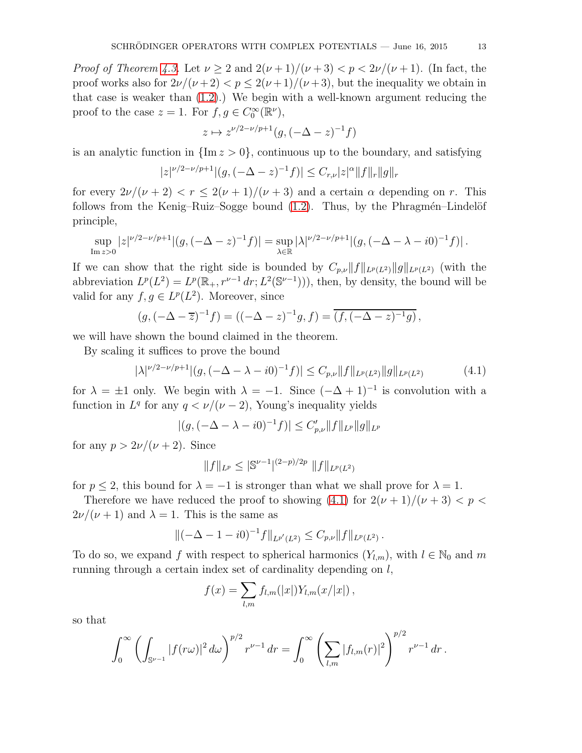*Proof of Theorem [4.3.](#page-9-0)* Let  $\nu \geq 2$  and  $2(\nu+1)/(\nu+3) < \nu < 2\nu/(\nu+1)$ . (In fact, the proof works also for  $2\nu/(\nu+2) < p \leq 2(\nu+1)/(\nu+3)$ , but the inequality we obtain in that case is weaker than [\(1.2\)](#page-1-0).) We begin with a well-known argument reducing the proof to the case  $z = 1$ . For  $f, g \in C_0^{\infty}(\mathbb{R}^{\nu})$ ,

$$
z \mapsto z^{\nu/2 - \nu/p + 1}(g, (-\Delta - z)^{-1}f)
$$

is an analytic function in  $\{\text{Im } z > 0\}$ , continuous up to the boundary, and satisfying

$$
|z|^{\nu/2-\nu/p+1}|(g,(-\Delta-z)^{-1}f)| \leq C_{r,\nu}|z|^\alpha \|f\|_r \|g\|_r
$$

for every  $2\nu/(\nu+2) < r \leq 2(\nu+1)/(\nu+3)$  and a certain  $\alpha$  depending on r. This follows from the Kenig–Ruiz–Sogge bound  $(1.2)$ . Thus, by the Phragmén–Lindelöf principle,

$$
\sup_{\text{Im } z>0} |z|^{\nu/2-\nu/p+1} |(g, (-\Delta-z)^{-1} f)| = \sup_{\lambda \in \mathbb{R}} |\lambda|^{\nu/2-\nu/p+1} |(g, (-\Delta-\lambda-i0)^{-1} f)|.
$$

If we can show that the right side is bounded by  $C_{p,\nu}||f||_{L^p(L^2)}||g||_{L^p(L^2)}$  (with the abbreviation  $L^p(L^2) = L^p(\mathbb{R}_+, r^{\nu-1} dr; L^2(\mathbb{S}^{\nu-1}))),$  then, by density, the bound will be valid for any  $f, g \in L^p(L^2)$ . Moreover, since

$$
(g, (-\Delta - \overline{z})^{-1} f) = ((-\Delta - z)^{-1} g, f) = \overline{(f, (-\Delta - z)^{-1} g)},
$$

we will have shown the bound claimed in the theorem.

By scaling it suffices to prove the bound

<span id="page-12-0"></span>
$$
|\lambda|^{\nu/2-\nu/p+1}|(g, (-\Delta - \lambda - i0)^{-1}f)| \le C_{p,\nu} \|f\|_{L^p(L^2)} \|g\|_{L^p(L^2)}
$$
(4.1)

for  $\lambda = \pm 1$  only. We begin with  $\lambda = -1$ . Since  $(-\Delta + 1)^{-1}$  is convolution with a function in  $L^q$  for any  $q < \nu/(\nu - 2)$ , Young's inequality yields

$$
|(g, (-\Delta - \lambda - i0)^{-1}f)| \le C'_{p,\nu} ||f||_{L^p} ||g||_{L^p}
$$

for any  $p > 2\nu/(\nu + 2)$ . Since

$$
||f||_{L^p} \leq |\mathbb{S}^{\nu-1}|^{(2-p)/2p} ||f||_{L^p(L^2)}
$$

for  $p \le 2$ , this bound for  $\lambda = -1$  is stronger than what we shall prove for  $\lambda = 1$ .

Therefore we have reduced the proof to showing [\(4.1\)](#page-12-0) for  $2(\nu + 1)/(\nu + 3) < p <$  $2\nu/(\nu+1)$  and  $\lambda=1$ . This is the same as

$$
\|(-\Delta - 1 - i0)^{-1}f\|_{L^{p'}(L^2)} \leq C_{p,\nu} \|f\|_{L^p(L^2)}.
$$

To do so, we expand f with respect to spherical harmonics  $(Y_{l,m})$ , with  $l \in \mathbb{N}_0$  and m running through a certain index set of cardinality depending on  $l$ ,

$$
f(x) = \sum_{l,m} f_{l,m}(|x|) Y_{l,m}(x/|x|) ,
$$

so that

$$
\int_0^{\infty} \left( \int_{\mathbb{S}^{\nu-1}} |f(r\omega)|^2 \, d\omega \right)^{p/2} r^{\nu-1} \, dr = \int_0^{\infty} \left( \sum_{l,m} |f_{l,m}(r)|^2 \right)^{p/2} r^{\nu-1} \, dr \, .
$$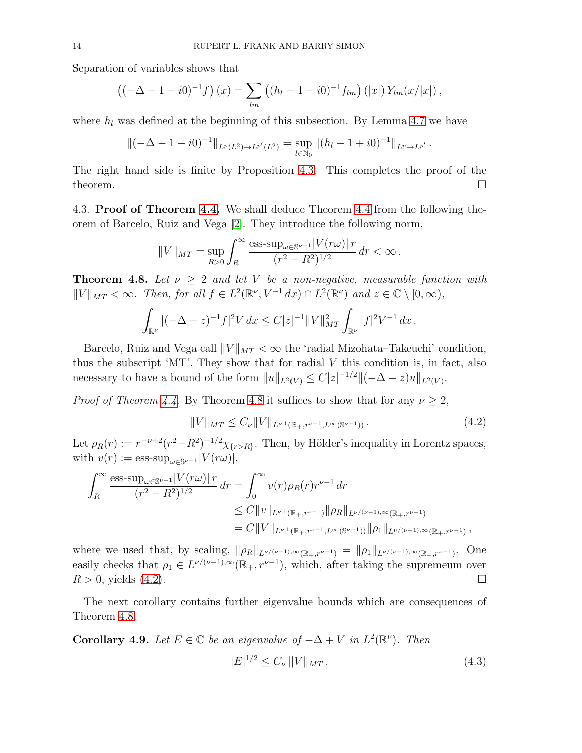Separation of variables shows that

$$
((-\Delta - 1 - i0)^{-1}f)(x) = \sum_{lm} ((h_l - 1 - i0)^{-1}f_{lm})(|x|)Y_{lm}(x/|x|),
$$

where  $h_l$  was defined at the beginning of this subsection. By Lemma [4.7](#page-11-0) we have

$$
\|(-\Delta - 1 - i0)^{-1}\|_{L^p(L^2) \to L^{p'}(L^2)} = \sup_{l \in \mathbb{N}_0} \|(h_l - 1 + i0)^{-1}\|_{L^p \to L^{p'}}.
$$

The right hand side is finite by Proposition [4.3.](#page-9-0) This completes the proof of the theorem.  $\Box$ 

4.3. Proof of Theorem [4.4.](#page-9-1) We shall deduce Theorem [4.4](#page-9-1) from the following theorem of Barcelo, Ruiz and Vega [\[2\]](#page-18-6). They introduce the following norm,

$$
||V||_{MT} = \sup_{R>0} \int_{R}^{\infty} \frac{\text{ess-sup}_{\omega \in \mathbb{S}^{\nu-1}} |V(r\omega)| r}{(r^2 - R^2)^{1/2}} dr < \infty.
$$

<span id="page-13-0"></span>**Theorem 4.8.** Let  $\nu \geq 2$  and let V be a non-negative, measurable function with  $||V||_{MT} < \infty$ . Then, for all  $f \in L^2(\mathbb{R}^{\nu}, V^{-1} dx) \cap L^2(\mathbb{R}^{\nu})$  and  $z \in \mathbb{C} \setminus [0, \infty)$ ,

$$
\int_{\mathbb{R}^{\nu}} |(-\Delta - z)^{-1} f|^2 V dx \leq C |z|^{-1} ||V||_{MT}^2 \int_{\mathbb{R}^{\nu}} |f|^2 V^{-1} dx.
$$

Barcelo, Ruiz and Vega call  $||V||_{MT} < \infty$  the 'radial Mizohata–Takeuchi' condition, thus the subscript 'MT'. They show that for radial  $V$  this condition is, in fact, also necessary to have a bound of the form  $||u||_{L^2(V)} \leq C|z|^{-1/2}||(-\Delta - z)u||_{L^2(V)}$ .

*Proof of Theorem [4.4.](#page-9-1)* By Theorem [4.8](#page-13-0) it suffices to show that for any  $\nu \geq 2$ ,

<span id="page-13-1"></span>
$$
||V||_{MT} \leq C_{\nu}||V||_{L^{\nu,1}(\mathbb{R}_+, r^{\nu-1}, L^{\infty}(\mathbb{S}^{\nu-1}))}.
$$
\n(4.2)

Let  $\rho_R(r) := r^{-\nu+2}(r^2 - R^2)^{-1/2}\chi_{\{r > R\}}$ . Then, by Hölder's inequality in Lorentz spaces, with  $v(r) := \text{ess-sup}_{\omega \in \mathbb{S}^{\nu-1}} |V(r\omega)|$ ,

$$
\int_{R}^{\infty} \frac{\text{ess-sup}_{\omega \in \mathbb{S}^{\nu-1}} |V(r\omega)| r}{(r^{2} - R^{2})^{1/2}} dr = \int_{0}^{\infty} v(r) \rho_{R}(r) r^{\nu-1} dr
$$
  

$$
\leq C ||v||_{L^{\nu,1}(\mathbb{R}_{+}, r^{\nu-1})} ||\rho_{R}||_{L^{\nu/(\nu-1),\infty}(\mathbb{R}_{+}, r^{\nu-1})}
$$
  

$$
= C ||V||_{L^{\nu,1}(\mathbb{R}_{+}, r^{\nu-1}, L^{\infty}(\mathbb{S}^{\nu-1}))} ||\rho_{1}||_{L^{\nu/(\nu-1),\infty}(\mathbb{R}_{+}, r^{\nu-1})},
$$

where we used that, by scaling,  $\|\rho_R\|_{L^{\nu/(\nu-1),\infty}(\mathbb{R}_+,r^{\nu-1})} = \|\rho_1\|_{L^{\nu/(\nu-1),\infty}(\mathbb{R}_+,r^{\nu-1})}$ . One easily checks that  $\rho_1 \in L^{\nu/(\nu-1),\infty}(\mathbb{R}_+, r^{\nu-1}),$  which, after taking the supremeum over  $R > 0$ , yields [\(4.2\)](#page-13-1).

The next corollary contains further eigenvalue bounds which are consequences of Theorem [4.8.](#page-13-0)

<span id="page-13-2"></span>**Corollary 4.9.** Let  $E \in \mathbb{C}$  be an eigenvalue of  $-\Delta + V$  in  $L^2(\mathbb{R}^{\nu})$ . Then  $|E|^{1/2} \leq C_{\nu} ||V||_{MT}.$  (4.3)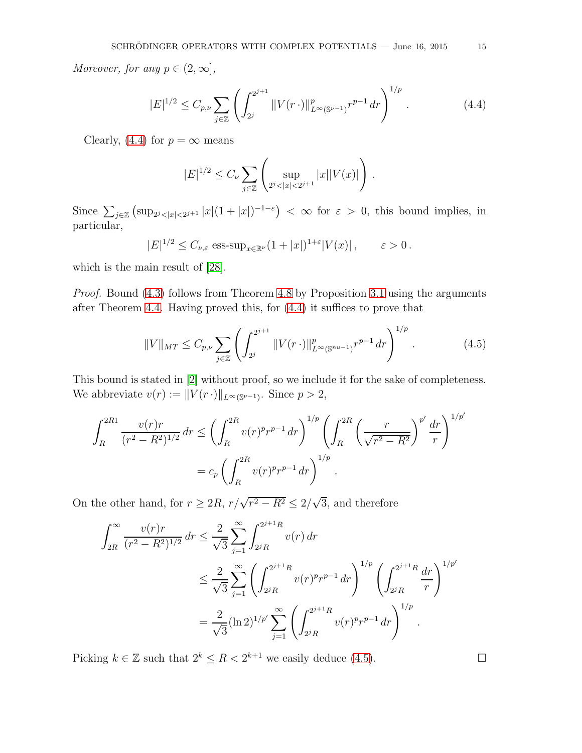Moreover, for any  $p \in (2,\infty]$ ,

<span id="page-14-0"></span>
$$
|E|^{1/2} \le C_{p,\nu} \sum_{j \in \mathbb{Z}} \left( \int_{2^j}^{2^{j+1}} \|V(r \cdot)\|_{L^{\infty}(\mathbb{S}^{\nu-1})}^p r^{p-1} dr \right)^{1/p} . \tag{4.4}
$$

Clearly, [\(4.4\)](#page-14-0) for  $p = \infty$  means

$$
|E|^{1/2} \le C_{\nu} \sum_{j \in \mathbb{Z}} \left( \sup_{2^{j} < |x| < 2^{j+1}} |x||V(x)| \right) \, .
$$

Since  $\sum_{j\in\mathbb{Z}}\left(\sup_{2j<|x|<2^{j+1}}|x|(1+|x|)^{-1-\varepsilon}\right)<\infty$  for  $\varepsilon>0$ , this bound implies, in particular,

$$
|E|^{1/2} \le C_{\nu,\varepsilon} \operatorname{ess-sup}_{x \in \mathbb{R}^{\nu}} (1+|x|)^{1+\varepsilon} |V(x)|, \qquad \varepsilon > 0.
$$

which is the main result of [\[28\]](#page-19-19).

Proof. Bound [\(4.3\)](#page-13-2) follows from Theorem [4.8](#page-13-0) by Proposition [3.1](#page-6-2) using the arguments after Theorem [4.4.](#page-9-1) Having proved this, for [\(4.4\)](#page-14-0) it suffices to prove that

<span id="page-14-1"></span>
$$
||V||_{MT} \leq C_{p,\nu} \sum_{j \in \mathbb{Z}} \left( \int_{2^j}^{2^{j+1}} ||V(r \cdot)||_{L^{\infty}(\mathbb{S}^{nu-1})}^p r^{p-1} dr \right)^{1/p} . \tag{4.5}
$$

This bound is stated in [\[2\]](#page-18-6) without proof, so we include it for the sake of completeness. We abbreviate  $v(r) := ||V(r \cdot)||_{L^{\infty}(\mathbb{S}^{\nu-1})}$ . Since  $p > 2$ ,

$$
\int_{R}^{2R1} \frac{v(r)r}{(r^2 - R^2)^{1/2}} dr \le \left( \int_{R}^{2R} v(r)^p r^{p-1} dr \right)^{1/p} \left( \int_{R}^{2R} \left( \frac{r}{\sqrt{r^2 - R^2}} \right)^{p'} \frac{dr}{r} \right)^{1/p'}
$$
  
=  $c_p \left( \int_{R}^{2R} v(r)^p r^{p-1} dr \right)^{1/p}$ .

On the other hand, for  $r \geq 2R$ ,  $r/\sqrt{r^2 - R^2} \leq 2/\sqrt{3}$ , and therefore

$$
\int_{2R}^{\infty} \frac{v(r)r}{(r^2 - R^2)^{1/2}} dr \le \frac{2}{\sqrt{3}} \sum_{j=1}^{\infty} \int_{2^j R}^{2^{j+1}R} v(r) dr
$$
  

$$
\le \frac{2}{\sqrt{3}} \sum_{j=1}^{\infty} \left( \int_{2^j R}^{2^{j+1}R} v(r)^p r^{p-1} dr \right)^{1/p} \left( \int_{2^j R}^{2^{j+1}R} \frac{dr}{r} \right)^{1/p'}
$$
  

$$
= \frac{2}{\sqrt{3}} (\ln 2)^{1/p'} \sum_{j=1}^{\infty} \left( \int_{2^j R}^{2^{j+1}R} v(r)^p r^{p-1} dr \right)^{1/p}.
$$

Picking  $k \in \mathbb{Z}$  such that  $2^k \leq R < 2^{k+1}$  we easily deduce [\(4.5\)](#page-14-1).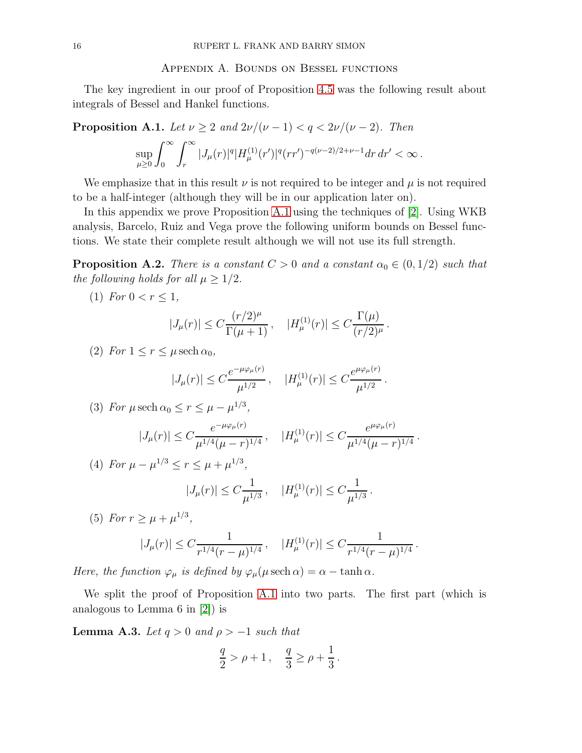## Appendix A. Bounds on Bessel functions

The key ingredient in our proof of Proposition [4.5](#page-10-1) was the following result about integrals of Bessel and Hankel functions.

<span id="page-15-0"></span>**Proposition A.1.** Let  $\nu \geq 2$  and  $2\nu/(\nu - 1) < q < 2\nu/(\nu - 2)$ . Then

$$
\sup_{\mu\geq 0}\int_0^\infty \int_r^\infty |J_\mu(r)|^q |H^{(1)}_\mu(r')|^q (rr')^{-q(\nu-2)/2+\nu-1}dr\,dr'<\infty\,.
$$

We emphasize that in this result  $\nu$  is not required to be integer and  $\mu$  is not required to be a half-integer (although they will be in our application later on).

In this appendix we prove Proposition [A.1](#page-15-0) using the techniques of [\[2\]](#page-18-6). Using WKB analysis, Barcelo, Ruiz and Vega prove the following uniform bounds on Bessel functions. We state their complete result although we will not use its full strength.

<span id="page-15-2"></span>**Proposition A.2.** There is a constant  $C > 0$  and a constant  $\alpha_0 \in (0, 1/2)$  such that the following holds for all  $\mu \geq 1/2$ .

(1) For  $0 < r \leq 1$ ,

$$
|J_{\mu}(r)| \le C \frac{(r/2)^{\mu}}{\Gamma(\mu+1)}, \quad |H_{\mu}^{(1)}(r)| \le C \frac{\Gamma(\mu)}{(r/2)^{\mu}}
$$

.

.

(2) For  $1 \leq r \leq \mu \operatorname{sech} \alpha_0$ ,

$$
|J_{\mu}(r)| \leq C \frac{e^{-\mu \varphi_{\mu}(r)}}{\mu^{1/2}}, \quad |H_{\mu}^{(1)}(r)| \leq C \frac{e^{\mu \varphi_{\mu}(r)}}{\mu^{1/2}}.
$$

(3) For 
$$
\mu
$$
 sech  $\alpha_0 \le r \le \mu - \mu^{1/3}$ ,

$$
|J_{\mu}(r)| \leq C \frac{e^{-\mu\varphi_{\mu}(r)}}{\mu^{1/4}(\mu-r)^{1/4}}, \quad |H_{\mu}^{(1)}(r)| \leq C \frac{e^{\mu\varphi_{\mu}(r)}}{\mu^{1/4}(\mu-r)^{1/4}}.
$$

(4) For 
$$
\mu - \mu^{1/3} \le r \le \mu + \mu^{1/3}
$$
,  
\n $|J_{\mu}(r)| \le C \frac{1}{\mu^{1/3}}, \quad |H_{\mu}^{(1)}(r)| \le C \frac{1}{\mu^{1/3}}.$ 

(5) For 
$$
r \ge \mu + \mu^{1/3}
$$
,  
\n $|J_{\mu}(r)| \le C \frac{1}{r^{1/4}(r-\mu)^{1/4}}, \quad |H_{\mu}^{(1)}(r)| \le C \frac{1}{r^{1/4}(r-\mu)^{1/4}}$ 

Here, the function  $\varphi_{\mu}$  is defined by  $\varphi_{\mu}(\mu \, \text{sech} \, \alpha) = \alpha - \tanh \alpha$ .

We split the proof of Proposition [A.1](#page-15-0) into two parts. The first part (which is analogous to Lemma 6 in [\[2\]](#page-18-6)) is

<span id="page-15-1"></span>**Lemma A.3.** Let  $q > 0$  and  $\rho > -1$  such that

$$
\frac{q}{2} > \rho + 1 \,, \quad \frac{q}{3} \ge \rho + \frac{1}{3} \,.
$$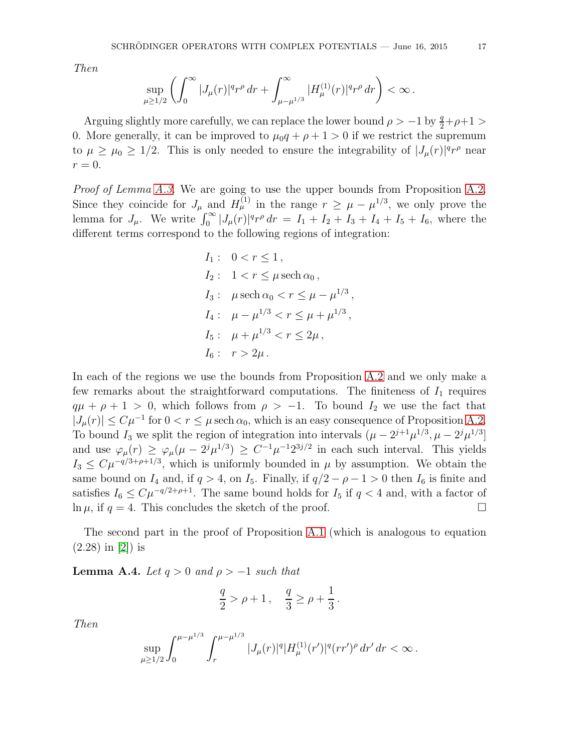Then

$$
\sup_{\mu \ge 1/2} \left( \int_0^\infty |J_\mu(r)|^q r^\rho \, dr + \int_{\mu - \mu^{1/3}}^\infty |H^{(1)}_\mu(r)|^q r^\rho \, dr \right) < \infty \, .
$$

Arguing slightly more carefully, we can replace the lower bound  $\rho > -1$  by  $\frac{q}{2} + \rho + 1$ 0. More generally, it can be improved to  $\mu_0 q + \rho + 1 > 0$  if we restrict the supremum to  $\mu \ge \mu_0 \ge 1/2$ . This is only needed to ensure the integrability of  $|J_\mu(r)|^q r^\rho$  near  $r=0.$ 

Proof of Lemma [A.3.](#page-15-1) We are going to use the upper bounds from Proposition [A.2.](#page-15-2) Since they coincide for  $J_{\mu}$  and  $H_{\mu}^{(1)}$  in the range  $r \geq \mu - \mu^{1/3}$ , we only prove the lemma for  $J_{\mu}$ . We write  $\int_0^{\infty} |J_{\mu}(r)|^q r^{\rho} dr = I_1 + I_2 + I_3 + I_4 + I_5 + I_6$ , where the different terms correspond to the following regions of integration:

$$
I_1: 0 < r \le 1,
$$
  
\n
$$
I_2: 1 < r \le \mu \operatorname{sech} \alpha_0,
$$
  
\n
$$
I_3: \mu \operatorname{sech} \alpha_0 < r \le \mu - \mu^{1/3},
$$
  
\n
$$
I_4: \mu - \mu^{1/3} < r \le \mu + \mu^{1/3},
$$
  
\n
$$
I_5: \mu + \mu^{1/3} < r \le 2\mu,
$$
  
\n
$$
I_6: r > 2\mu.
$$

In each of the regions we use the bounds from Proposition [A.2](#page-15-2) and we only make a few remarks about the straightforward computations. The finiteness of  $I_1$  requires  $q\mu + \rho + 1 > 0$ , which follows from  $\rho > -1$ . To bound  $I_2$  we use the fact that  $|J_\mu(r)| \leq C\mu^{-1}$  for  $0 < r \leq \mu$  sech  $\alpha_0$ , which is an easy consequence of Proposition [A.2.](#page-15-2) To bound  $I_3$  we split the region of integration into intervals  $(\mu - 2^{j+1}\mu^{1/3}, \mu - 2^j\mu^{1/3}]$ and use  $\varphi_{\mu}(r) \geq \varphi_{\mu}(\mu - 2^{j}\mu^{1/3}) \geq C^{-1}\mu^{-1}2^{3j/2}$  in each such interval. This yields  $I_3 \n\t\leq C \mu^{-q/3 + \rho + 1/3}$ , which is uniformly bounded in  $\mu$  by assumption. We obtain the same bound on  $I_4$  and, if  $q > 4$ , on  $I_5$ . Finally, if  $q/2 - \rho - 1 > 0$  then  $I_6$  is finite and satisfies  $I_6 \n\t\le C\mu^{-q/2+\rho+1}$ . The same bound holds for  $I_5$  if  $q < 4$  and, with a factor of  $\ln \mu$ , if  $q = 4$ . This concludes the sketch of the proof.  $\ln \mu$ , if  $q = 4$ . This concludes the sketch of the proof.

The second part in the proof of Proposition [A.1](#page-15-0) (which is analogous to equation (2.28) in [\[2\]](#page-18-6)) is

<span id="page-16-0"></span>**Lemma A.4.** Let  $q > 0$  and  $p > -1$  such that

$$
\frac{q}{2} > \rho + 1 \,, \quad \frac{q}{3} \ge \rho + \frac{1}{3} \,.
$$

Then

$$
\sup_{\mu \geq 1/2} \int_0^{\mu - \mu^{1/3}} \int_r^{\mu - \mu^{1/3}} |J_\mu(r)|^q |H_{\mu}^{(1)}(r')|^q (rr')^\rho \, dr' \, dr < \infty \, .
$$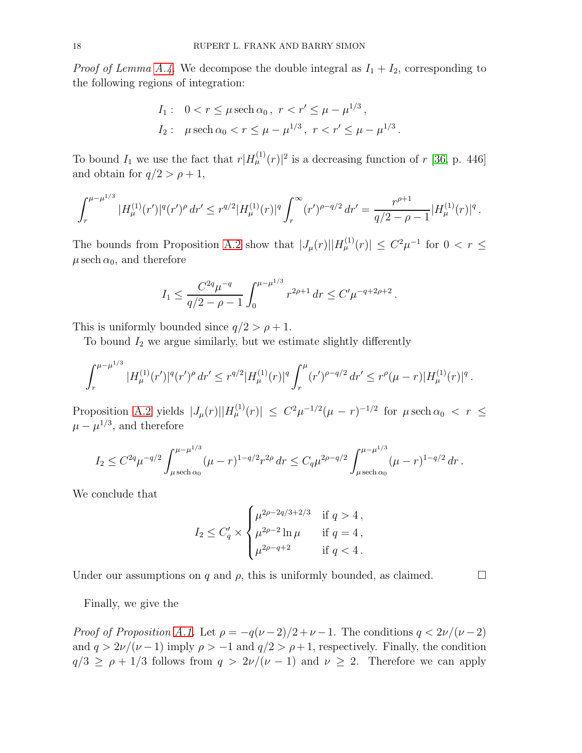*Proof of Lemma [A.4.](#page-16-0)* We decompose the double integral as  $I_1 + I_2$ , corresponding to the following regions of integration:

$$
I_1: \quad 0 < r \le \mu \, \text{sech } \alpha_0 \, , \ r < r' \le \mu - \mu^{1/3} \, ,
$$
\n
$$
I_2: \quad \mu \, \text{sech } \alpha_0 < r \le \mu - \mu^{1/3} \, , \ r < r' \le \mu - \mu^{1/3}
$$

.

.

To bound  $I_1$  we use the fact that  $r|H_{\mu}^{(1)}(r)|^2$  is a decreasing function of r [\[36,](#page-20-0) p. 446] and obtain for  $q/2 > \rho + 1$ ,

$$
\int_r^{\mu-\mu^{1/3}} |H_{\mu}^{(1)}(r')|^q (r')^{\rho} dr' \leq r^{q/2} |H_{\mu}^{(1)}(r)|^q \int_r^{\infty} (r')^{\rho-q/2} dr' = \frac{r^{\rho+1}}{q/2-\rho-1} |H_{\mu}^{(1)}(r)|^q.
$$

The bounds from Proposition [A.2](#page-15-2) show that  $|J_\mu(r)||H_\mu^{(1)}(r)| \leq C^2\mu^{-1}$  for  $0 < r \leq$  $\mu \, \mathrm{sech} \, \alpha_0,$  and therefore

$$
I_1 \le \frac{C^{2q} \mu^{-q}}{q/2 - \rho - 1} \int_0^{\mu - \mu^{1/3}} r^{2\rho + 1} dr \le C' \mu^{-q + 2\rho + 2}
$$

This is uniformly bounded since  $q/2 > \rho + 1$ .

To bound  $I_2$  we argue similarly, but we estimate slightly differently

$$
\int_r^{\mu-\mu^{1/3}} |H_{\mu}^{(1)}(r')|^q (r')^{\rho} dr' \leq r^{q/2} |H_{\mu}^{(1)}(r)|^q \int_r^{\mu} (r')^{\rho-q/2} dr' \leq r^{\rho} (\mu-r) |H_{\mu}^{(1)}(r)|^q.
$$

Proposition [A.2](#page-15-2) yields  $|J_\mu(r)||H_\mu^{(1)}(r)| \leq C^2\mu^{-1/2}(\mu-r)^{-1/2}$  for  $\mu \text{ sech } \alpha_0 < r \leq$  $\mu - \mu^{1/3}$ , and therefore

$$
I_2 \leq C^{2q} \mu^{-q/2} \int_{\mu \text{ sech } \alpha_0}^{\mu - \mu^{1/3}} (\mu - r)^{1 - q/2} r^{2\rho} dr \leq C_q \mu^{2\rho - q/2} \int_{\mu \text{ sech } \alpha_0}^{\mu - \mu^{1/3}} (\mu - r)^{1 - q/2} dr.
$$

We conclude that

$$
I_2 \le C'_q \times \begin{cases} \mu^{2\rho - 2q/3 + 2/3} & \text{if } q > 4, \\ \mu^{2\rho - 2} \ln \mu & \text{if } q = 4, \\ \mu^{2\rho - q + 2} & \text{if } q < 4. \end{cases}
$$

Under our assumptions on q and  $\rho$ , this is uniformly bounded, as claimed.

Finally, we give the

Proof of Proposition [A.1.](#page-15-0) Let  $\rho = -q(\nu - 2)/2 + \nu - 1$ . The conditions  $q < 2\nu/(\nu - 2)$ and  $q > 2\nu/(\nu - 1)$  imply  $\rho > -1$  and  $q/2 > \rho + 1$ , respectively. Finally, the condition  $q/3 \ge \rho + 1/3$  follows from  $q > 2\nu/(\nu - 1)$  and  $\nu \ge 2$ . Therefore we can apply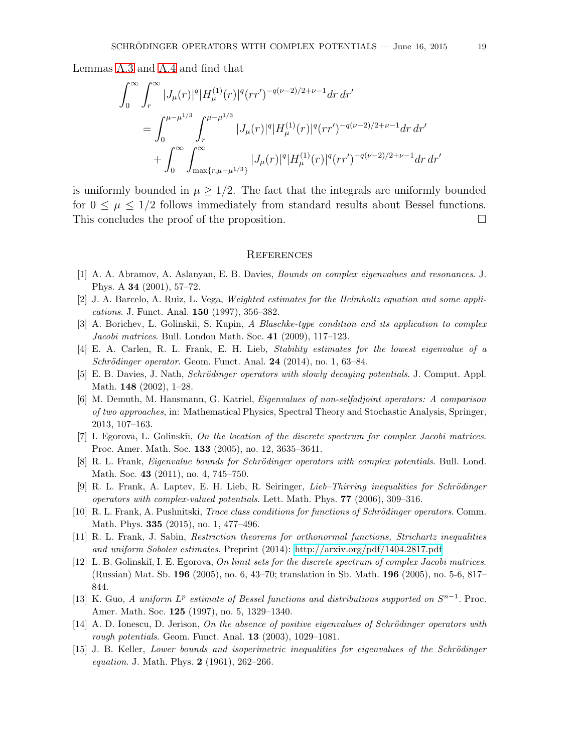Lemmas [A.3](#page-15-1) and [A.4](#page-16-0) and find that

$$
\int_0^\infty \int_r^\infty |J_\mu(r)|^q |H_{\mu}^{(1)}(r)|^q (rr')^{-q(\nu-2)/2+\nu-1} dr dr'
$$
\n
$$
= \int_0^{\mu-\mu^{1/3}} \int_r^{\mu-\mu^{1/3}} |J_\mu(r)|^q |H_{\mu}^{(1)}(r)|^q (rr')^{-q(\nu-2)/2+\nu-1} dr dr'
$$
\n
$$
+ \int_0^\infty \int_{\max\{r,\mu-\mu^{1/3}\}}^\infty |J_\mu(r)|^q |H_{\mu}^{(1)}(r)|^q (rr')^{-q(\nu-2)/2+\nu-1} dr dr'
$$

is uniformly bounded in  $\mu \geq 1/2$ . The fact that the integrals are uniformly bounded for  $0 \leq \mu \leq 1/2$  follows immediately from standard results about Bessel functions.<br>This concludes the proof of the proposition. This concludes the proof of the proposition.

#### **REFERENCES**

- <span id="page-18-6"></span><span id="page-18-2"></span>[1] A. A. Abramov, A. Aslanyan, E. B. Davies, Bounds on complex eigenvalues and resonances. J. Phys. A 34 (2001), 57–72.
- <span id="page-18-9"></span>[2] J. A. Barcelo, A. Ruiz, L. Vega, Weighted estimates for the Helmholtz equation and some applications. J. Funct. Anal. 150 (1997), 356–382.
- <span id="page-18-1"></span>[3] A. Borichev, L. Golinskii, S. Kupin, A Blaschke-type condition and its application to complex Jacobi matrices. Bull. London Math. Soc. 41 (2009), 117–123.
- <span id="page-18-3"></span>[4] E. A. Carlen, R. L. Frank, E. H. Lieb, Stability estimates for the lowest eigenvalue of a  $Schrödinger operator. Geom.$  Funct. Anal. 24 (2014), no. 1, 63–84.
- <span id="page-18-10"></span>[5] E. B. Davies, J. Nath, *Schrödinger operators with slowly decaying potentials.* J. Comput. Appl. Math. 148 (2002), 1–28.
- [6] M. Demuth, M. Hansmann, G. Katriel, Eigenvalues of non-selfadjoint operators: A comparison of two approaches, in: Mathematical Physics, Spectral Theory and Stochastic Analysis, Springer, 2013, 107–163.
- <span id="page-18-12"></span>[7] I. Egorova, L. Golinskiĭ, On the location of the discrete spectrum for complex Jacobi matrices. Proc. Amer. Math. Soc. 133 (2005), no. 12, 3635–3641.
- <span id="page-18-4"></span>[8] R. L. Frank, *Eigenvalue bounds for Schrödinger operators with complex potentials*. Bull. Lond. Math. Soc. 43 (2011), no. 4, 745–750.
- <span id="page-18-8"></span>[9] R. L. Frank, A. Laptev, E. H. Lieb, R. Seiringer, *Lieb–Thirring inequalities for Schrödinger* operators with complex-valued potentials. Lett. Math. Phys. 77 (2006), 309–316.
- <span id="page-18-7"></span>[10] R. L. Frank, A. Pushnitski, *Trace class conditions for functions of Schrödinger operators*. Comm. Math. Phys. 335 (2015), no. 1, 477–496.
- <span id="page-18-13"></span><span id="page-18-11"></span>[11] R. L. Frank, J. Sabin, Restriction theorems for orthonormal functions, Strichartz inequalities and uniform Sobolev estimates. Preprint (2014):<http://arxiv.org/pdf/1404.2817.pdf>
- [12] L. B. Golinskiı̆, I. E. Egorova, On limit sets for the discrete spectrum of complex Jacobi matrices. (Russian) Mat. Sb. 196 (2005), no. 6, 43–70; translation in Sb. Math. 196 (2005), no. 5-6, 817– 844.
- <span id="page-18-14"></span>[13] K. Guo, A uniform  $L^p$  estimate of Bessel functions and distributions supported on  $S^{n-1}$ . Proc. Amer. Math. Soc. 125 (1997), no. 5, 1329–1340.
- <span id="page-18-5"></span>[14] A. D. Ionescu, D. Jerison, On the absence of positive eigenvalues of Schrödinger operators with rough potentials. Geom. Funct. Anal. 13 (2003), 1029–1081.
- <span id="page-18-0"></span>[15] J. B. Keller, Lower bounds and isoperimetric inequalities for eigenvalues of the Schrödinger equation. J. Math. Phys. 2 (1961), 262–266.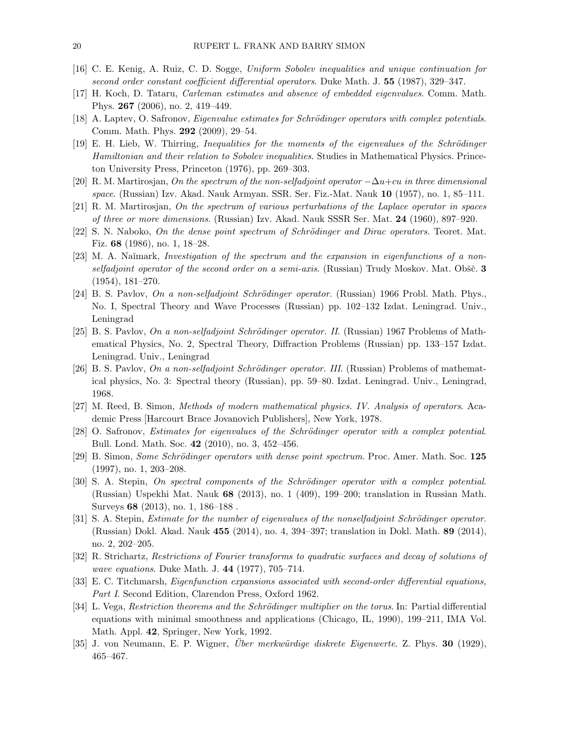- <span id="page-19-7"></span><span id="page-19-2"></span>[16] C. E. Kenig, A. Ruiz, C. D. Sogge, Uniform Sobolev inequalities and unique continuation for second order constant coefficient differential operators. Duke Math. J. 55 (1987), 329–347.
- <span id="page-19-1"></span>[17] H. Koch, D. Tataru, Carleman estimates and absence of embedded eigenvalues. Comm. Math. Phys. 267 (2006), no. 2, 419–449.
- <span id="page-19-0"></span>[18] A. Laptev, O. Safronov, Eigenvalue estimates for Schrödinger operators with complex potentials. Comm. Math. Phys. 292 (2009), 29–54.
- [19] E. H. Lieb, W. Thirring, Inequalities for the moments of the eigenvalues of the Schrödinger Hamiltonian and their relation to Sobolev inequalities. Studies in Mathematical Physics. Princeton University Press, Princeton (1976), pp. 269–303.
- <span id="page-19-10"></span><span id="page-19-9"></span>[20] R. M. Martirosjan, On the spectrum of the non-selfadjoint operator  $-\Delta u$ +cu in three dimensional space. (Russian) Izv. Akad. Nauk Armyan. SSR. Ser. Fiz.-Mat. Nauk 10 (1957), no. 1, 85–111.
- <span id="page-19-5"></span>[21] R. M. Martirosjan, On the spectrum of various perturbations of the Laplace operator in spaces of three or more dimensions. (Russian) Izv. Akad. Nauk SSSR Ser. Mat. 24 (1960), 897–920.
- <span id="page-19-8"></span> $[22]$  S. N. Naboko, *On the dense point spectrum of Schrödinger and Dirac operators*. Teoret. Mat. Fiz. 68 (1986), no. 1, 18–28.
- [23] M. A. Naĭmark, *Investigation of the spectrum and the expansion in eigenfunctions of a non*selfadjoint operator of the second order on a semi-axis. (Russian) Trudy Moskov. Mat. Obšč.  $3$ (1954), 181–270.
- <span id="page-19-13"></span>[24] B. S. Pavlov, On a non-selfadjoint Schrödinger operator. (Russian) 1966 Probl. Math. Phys., No. I, Spectral Theory and Wave Processes (Russian) pp. 102–132 Izdat. Leningrad. Univ., Leningrad
- <span id="page-19-14"></span>[25] B. S. Pavlov, On a non-selfadjoint Schrödinger operator. II. (Russian) 1967 Problems of Mathematical Physics, No. 2, Spectral Theory, Diffraction Problems (Russian) pp. 133–157 Izdat. Leningrad. Univ., Leningrad
- <span id="page-19-15"></span>[26] B. S. Pavlov, On a non-selfadjoint Schrödinger operator. III. (Russian) Problems of mathematical physics, No. 3: Spectral theory (Russian), pp. 59–80. Izdat. Leningrad. Univ., Leningrad, 1968.
- <span id="page-19-19"></span><span id="page-19-4"></span>[27] M. Reed, B. Simon, Methods of modern mathematical physics. IV. Analysis of operators. Academic Press [Harcourt Brace Jovanovich Publishers], New York, 1978.
- <span id="page-19-6"></span>[28] O. Safronov, Estimates for eigenvalues of the Schrödinger operator with a complex potential. Bull. Lond. Math. Soc. 42 (2010), no. 3, 452–456.
- <span id="page-19-11"></span>[29] B. Simon, *Some Schrödinger operators with dense point spectrum*. Proc. Amer. Math. Soc. 125 (1997), no. 1, 203–208.
- [30] S. A. Stepin, On spectral components of the Schrödinger operator with a complex potential. (Russian) Uspekhi Mat. Nauk 68 (2013), no. 1 (409), 199–200; translation in Russian Math. Surveys 68 (2013), no. 1, 186–188 .
- <span id="page-19-12"></span>[31] S. A. Stepin, *Estimate for the number of eigenvalues of the nonselfadjoint Schrödinger operator*. (Russian) Dokl. Akad. Nauk 455 (2014), no. 4, 394–397; translation in Dokl. Math. 89 (2014), no. 2, 202–205.
- <span id="page-19-17"></span>[32] R. Strichartz, Restrictions of Fourier transforms to quadratic surfaces and decay of solutions of wave equations. Duke Math. J. 44 (1977), 705–714.
- <span id="page-19-16"></span>[33] E. C. Titchmarsh, Eigenfunction expansions associated with second-order differential equations, Part I. Second Edition, Clarendon Press, Oxford 1962.
- <span id="page-19-18"></span>[34] L. Vega, Restriction theorems and the Schrödinger multiplier on the torus. In: Partial differential equations with minimal smoothness and applications (Chicago, IL, 1990), 199–211, IMA Vol. Math. Appl. 42, Springer, New York, 1992.
- <span id="page-19-3"></span>[35] J. von Neumann, E. P. Wigner, *Über merkwürdige diskrete Eigenwerte*. Z. Phys. **30** (1929), 465–467.